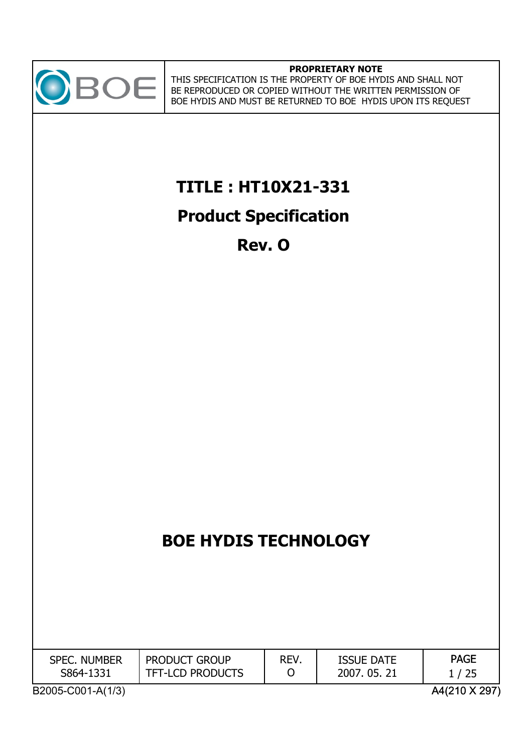

### **PROPRIETARY NOTE**

THIS SPECIFICATION IS THE PROPERTY OF BOE HYDIS AND SHALL NOT BE REPRODUCED OR COPIED WITHOUT THE WRITTEN PERMISSION OF BOE HYDIS AND MUST BE RETURNED TO BOE HYDIS UPON ITS REQUEST

**TITLE : HT10X21-331**

## **Product Specification**

**Rev. O**

# **BOE HYDIS TECHNOLOGY**

| <b>SPEC. NUMBER</b><br>S864-1331 | <b>PRODUCT GROUP</b><br><b>TFT-LCD PRODUCTS</b> | REV. | <b>ISSUE DATE</b><br>2007, 05, 21 | <b>PAGE</b> |
|----------------------------------|-------------------------------------------------|------|-----------------------------------|-------------|
|                                  |                                                 |      |                                   |             |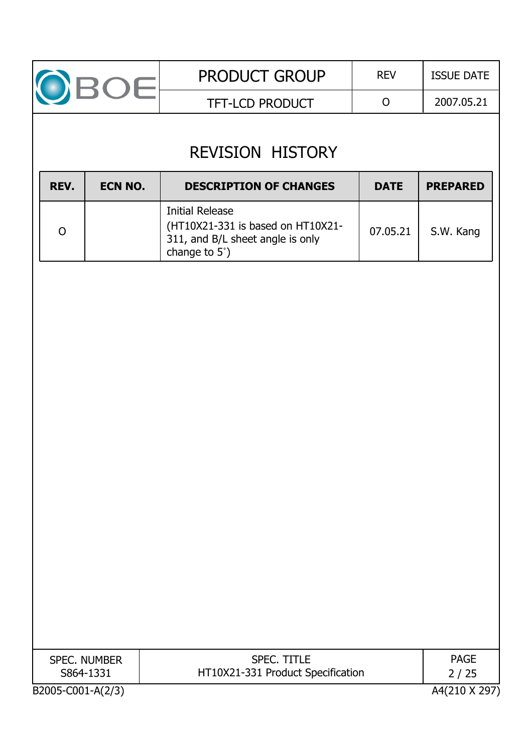

## REVISION HISTORY

| REV. | ECN NO. | <b>DESCRIPTION OF CHANGES</b>                                                                                    | <b>DATE</b> | <b>PREPARED</b> |
|------|---------|------------------------------------------------------------------------------------------------------------------|-------------|-----------------|
|      |         | <b>Initial Release</b><br>(HT10X21-331 is based on HT10X21-<br>311, and B/L sheet angle is only<br>change to 5°) | 07.05.21    | S.W. Kang       |

| <b>SPEC. NUMBER</b> | <b>SPEC. TITLE</b>                | <b>PAGE</b>   |
|---------------------|-----------------------------------|---------------|
| S864-1331           | HT10X21-331 Product Specification | 2/25          |
| B2005-C001-A(2/3)   |                                   | A4(210 X 297) |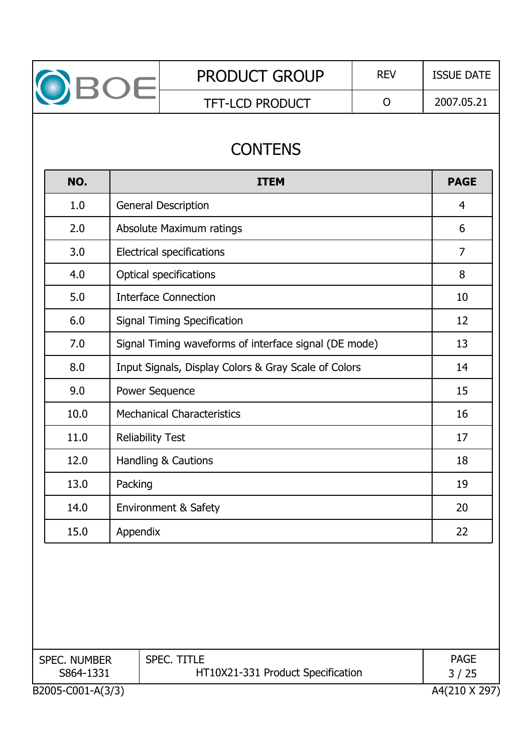|                     |                         | <b>CONTENS</b>                                        |                |
|---------------------|-------------------------|-------------------------------------------------------|----------------|
| NO.                 |                         | <b>ITEM</b>                                           | <b>PAGE</b>    |
| 1.0                 |                         | <b>General Description</b>                            | $\overline{4}$ |
| 2.0                 |                         | Absolute Maximum ratings                              | 6              |
| 3.0                 |                         | <b>Electrical specifications</b>                      | $\overline{7}$ |
| 4.0                 |                         | <b>Optical specifications</b>                         | 8              |
| 5.0                 |                         | <b>Interface Connection</b>                           | 10             |
| 6.0                 |                         | <b>Signal Timing Specification</b>                    | 12             |
| 7.0                 |                         | Signal Timing waveforms of interface signal (DE mode) | 13             |
| 8.0                 |                         | Input Signals, Display Colors & Gray Scale of Colors  | 14             |
| 9.0                 | Power Sequence          |                                                       | 15             |
| 10.0                |                         | <b>Mechanical Characteristics</b>                     | 16             |
| 11.0                | <b>Reliability Test</b> |                                                       | 17             |
| 12.0                |                         | Handling & Cautions                                   | 18             |
| 13.0                | Packing                 |                                                       | 19             |
| 14.0                |                         | <b>Environment &amp; Safety</b>                       | 20             |
| 15.0                | Appendix                |                                                       | 22             |
| <b>SPEC. NUMBER</b> |                         | <b>SPEC. TITLE</b>                                    | <b>PAGE</b>    |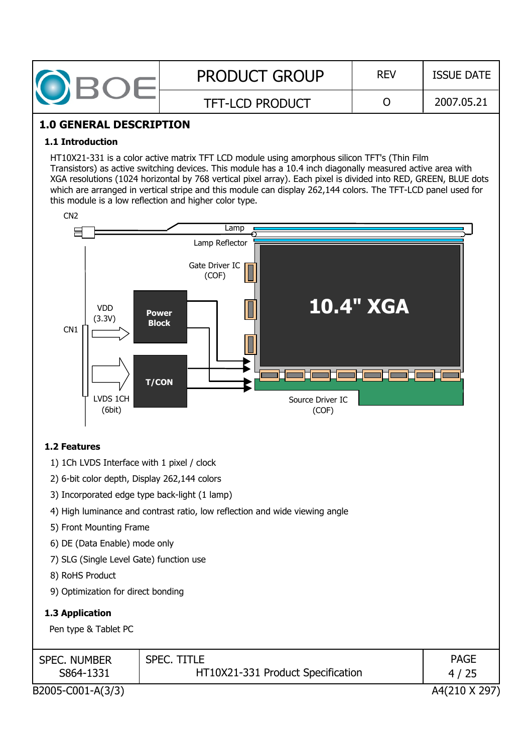| $\sqrt{2}$ | <b>PRODUCT GROUP</b>   | <b>REV</b> | <b>ISSUE DATE</b> |  |
|------------|------------------------|------------|-------------------|--|
|            | <b>TFT-LCD PRODUCT</b> |            | 2007.05.21        |  |

### **1.0 GENERAL DESCRIPTION**

#### **1.1 Introduction**

HT10X21-331 is a color active matrix TFT LCD module using amorphous silicon TFT's (Thin Film Transistors) as active switching devices. This module has a 10.4 inch diagonally measured active area with XGA resolutions (1024 horizontal by 768 vertical pixel array). Each pixel is divided into RED, GREEN, BLUE dots which are arranged in vertical stripe and this module can display 262,144 colors. The TFT-LCD panel used for this module is a low reflection and higher color type.



#### **1.2 Features**

1) 1Ch LVDS Interface with 1 pixel / clock

2) 6-bit color depth, Display 262,144 colors

- 3) Incorporated edge type back-light (1 lamp)
- 4) High luminance and contrast ratio, low reflection and wide viewing angle
- 5) Front Mounting Frame
- 6) DE (Data Enable) mode only
- 7) SLG (Single Level Gate) function use
- 8) RoHS Product
- 9) Optimization for direct bonding

#### **1.3 Application**

Pen type & Tablet PC

| <b>SPEC. NUMBER</b> | <b>SPEC. TITLE</b>                | <b>PAGE</b>   |
|---------------------|-----------------------------------|---------------|
| S864-1331           | HT10X21-331 Product Specification | 4/25          |
| B2005-C001-A(3/3)   |                                   | A4(210 X 297) |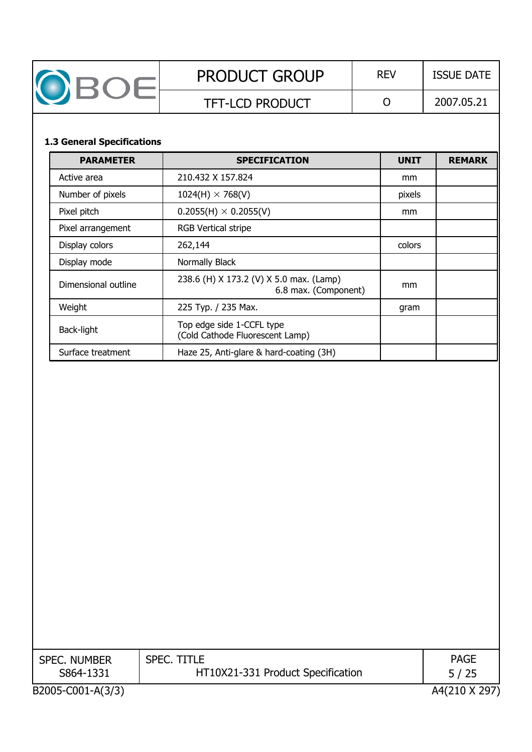| DBOE                              |                                                                 | $\overline{O}$ | 2007.05.21    |
|-----------------------------------|-----------------------------------------------------------------|----------------|---------------|
|                                   | <b>TFT-LCD PRODUCT</b>                                          |                |               |
| <b>1.3 General Specifications</b> |                                                                 |                |               |
| <b>PARAMETER</b>                  | <b>SPECIFICATION</b>                                            | <b>UNIT</b>    | <b>REMARK</b> |
| Active area                       | 210.432 X 157.824                                               | mm             |               |
| Number of pixels                  | $1024(H) \times 768(V)$                                         | pixels         |               |
| Pixel pitch                       | $0.2055(H) \times 0.2055(V)$                                    | mm             |               |
| Pixel arrangement                 | <b>RGB Vertical stripe</b>                                      |                |               |
| Display colors                    | 262,144                                                         | colors         |               |
| Display mode                      | Normally Black                                                  |                |               |
| Dimensional outline               | 238.6 (H) X 173.2 (V) X 5.0 max. (Lamp)<br>6.8 max. (Component) | mm             |               |
| Weight                            | 225 Typ. / 235 Max.                                             | gram           |               |
| Back-light                        | Top edge side 1-CCFL type<br>(Cold Cathode Fluorescent Lamp)    |                |               |
| Surface treatment                 | Haze 25, Anti-glare & hard-coating (3H)                         |                |               |
|                                   |                                                                 |                |               |

| <b>SPEC. NUMBER</b><br>S864-1331 | <b>SPEC. TITLE</b><br>HT10X21-331 Product Specification | <b>PAGE</b><br>5/25 |
|----------------------------------|---------------------------------------------------------|---------------------|
|                                  |                                                         |                     |
| B2005-C001-A(3/3)                |                                                         | A4(210 X 297)       |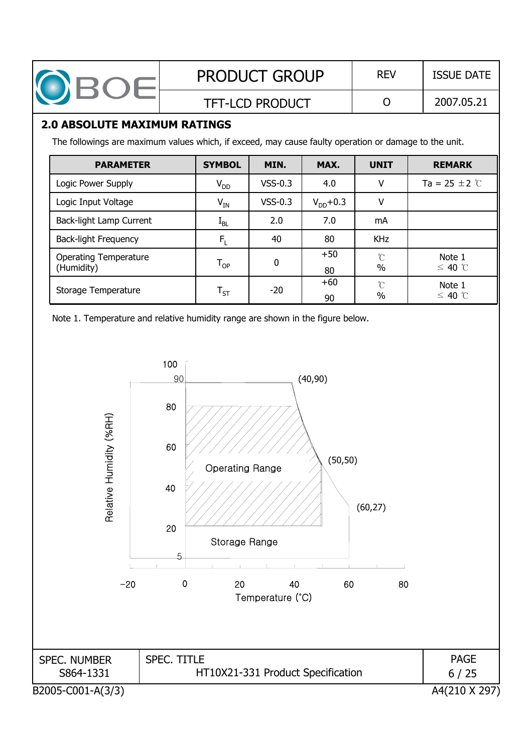| OBOE |                                                                                                                                              |  |                            | <b>PRODUCT GROUP</b>   | <b>REV</b>    | <b>ISSUE DATE</b>    |                           |  |
|------|----------------------------------------------------------------------------------------------------------------------------------------------|--|----------------------------|------------------------|---------------|----------------------|---------------------------|--|
|      |                                                                                                                                              |  |                            | <b>TFT-LCD PRODUCT</b> |               | O                    | 2007.05.21                |  |
|      | <b>2.0 ABSOLUTE MAXIMUM RATINGS</b><br>The followings are maximum values which, if exceed, may cause faulty operation or damage to the unit. |  |                            |                        |               |                      |                           |  |
|      | <b>PARAMETER</b>                                                                                                                             |  | <b>SYMBOL</b>              | MIN.                   | MAX.          | <b>UNIT</b>          | <b>REMARK</b>             |  |
|      | Logic Power Supply                                                                                                                           |  | $V_{DD}$                   | $VSS-0.3$              | 4.0           | V                    | Ta = 25 $\pm$ 2 $\degree$ |  |
|      | Logic Input Voltage                                                                                                                          |  | $V_{IN}$                   | $VSS-0.3$              | $V_{DD}$ +0.3 | V                    |                           |  |
|      | Back-light Lamp Current                                                                                                                      |  | $I_{BL}$                   | 2.0                    | 7.0           | mA                   |                           |  |
|      | <b>Back-light Frequency</b>                                                                                                                  |  | $F_1$                      | 40                     | 80            | <b>KHz</b>           |                           |  |
|      | <b>Operating Temperature</b><br>(Humidity)                                                                                                   |  | $\mathsf{T}_{\mathsf{OP}}$ | 0                      | $+50$<br>80.  | $\rm ^{\circ}C$<br>% | Note 1<br>$≤$ 40 ℃        |  |

80

+60 90

 $\mathcal{C}$ %

Note 1  $\leq$  40  $^{\circ}$ C

Note 1. Temperature and relative humidity range are shown in the figure below.

Storage Temperature  $T_{ST}$  -20

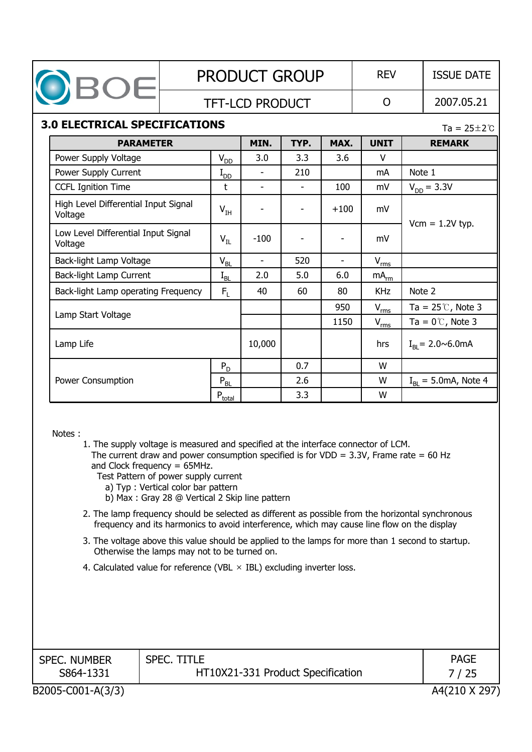|                                                                                                                                                                                                                                                                                                                                                                                                                                                                                                                                                                                                                                                                                                                                                                                                         |                        |                         | <b>PRODUCT GROUP</b> |      |                | <b>REV</b>       |        | <b>ISSUE DATE</b>                     |
|---------------------------------------------------------------------------------------------------------------------------------------------------------------------------------------------------------------------------------------------------------------------------------------------------------------------------------------------------------------------------------------------------------------------------------------------------------------------------------------------------------------------------------------------------------------------------------------------------------------------------------------------------------------------------------------------------------------------------------------------------------------------------------------------------------|------------------------|-------------------------|----------------------|------|----------------|------------------|--------|---------------------------------------|
| OBOE                                                                                                                                                                                                                                                                                                                                                                                                                                                                                                                                                                                                                                                                                                                                                                                                    | <b>TFT-LCD PRODUCT</b> |                         |                      |      |                | $\overline{O}$   |        | 2007.05.21                            |
| <b>3.0 ELECTRICAL SPECIFICATIONS</b>                                                                                                                                                                                                                                                                                                                                                                                                                                                                                                                                                                                                                                                                                                                                                                    |                        |                         |                      |      |                |                  |        | Ta = $25 \pm 2^{\circ}$ C             |
| <b>PARAMETER</b>                                                                                                                                                                                                                                                                                                                                                                                                                                                                                                                                                                                                                                                                                                                                                                                        |                        |                         | MIN.                 | TYP. | MAX.           | <b>UNIT</b>      |        | <b>REMARK</b>                         |
| Power Supply Voltage                                                                                                                                                                                                                                                                                                                                                                                                                                                                                                                                                                                                                                                                                                                                                                                    |                        | $V_{DD}$                | 3.0                  | 3.3  | 3.6            | V                |        |                                       |
| Power Supply Current                                                                                                                                                                                                                                                                                                                                                                                                                                                                                                                                                                                                                                                                                                                                                                                    |                        | $I_{DD}$                |                      | 210  |                | mA               | Note 1 |                                       |
| <b>CCFL Ignition Time</b>                                                                                                                                                                                                                                                                                                                                                                                                                                                                                                                                                                                                                                                                                                                                                                               |                        | t                       |                      |      | 100            | mV               |        | $V_{DD} = 3.3V$                       |
| High Level Differential Input Signal<br>Voltage                                                                                                                                                                                                                                                                                                                                                                                                                                                                                                                                                                                                                                                                                                                                                         |                        | $V_{IH}$                |                      |      | $+100$         | mV               |        |                                       |
| Low Level Differential Input Signal<br>Voltage                                                                                                                                                                                                                                                                                                                                                                                                                                                                                                                                                                                                                                                                                                                                                          |                        | $V_{IL}$                | $-100$               |      |                | mV               |        | $Vcm = 1.2V$ typ.                     |
| Back-light Lamp Voltage                                                                                                                                                                                                                                                                                                                                                                                                                                                                                                                                                                                                                                                                                                                                                                                 |                        | $V_{BL}$                | $\mathbf{r}$         | 520  | $\blacksquare$ | $V_{\text{rms}}$ |        |                                       |
| Back-light Lamp Current                                                                                                                                                                                                                                                                                                                                                                                                                                                                                                                                                                                                                                                                                                                                                                                 |                        | $I_{BL}$                | 2.0                  | 5.0  | 6.0            | $mA_{rm}$        |        |                                       |
| Back-light Lamp operating Frequency                                                                                                                                                                                                                                                                                                                                                                                                                                                                                                                                                                                                                                                                                                                                                                     |                        | $F_{\rm L}$             | 40                   | 60   | 80             | <b>KHz</b>       | Note 2 |                                       |
|                                                                                                                                                                                                                                                                                                                                                                                                                                                                                                                                                                                                                                                                                                                                                                                                         |                        |                         |                      |      | 950            | $V_{rms}$        |        | Ta = $25^{\circ}$ C, Note 3           |
| Lamp Start Voltage                                                                                                                                                                                                                                                                                                                                                                                                                                                                                                                                                                                                                                                                                                                                                                                      |                        |                         |                      |      | 1150           | $V_{rms}$        |        | Ta = $0^{\circ}$ , Note 3             |
| Lamp Life                                                                                                                                                                                                                                                                                                                                                                                                                                                                                                                                                                                                                                                                                                                                                                                               |                        |                         | 10,000               |      |                | hrs              |        | $I_{\rm RI} = 2.0 \sim 6.0 \text{mA}$ |
|                                                                                                                                                                                                                                                                                                                                                                                                                                                                                                                                                                                                                                                                                                                                                                                                         |                        | $P_D$                   |                      | 0.7  |                | W                |        |                                       |
| Power Consumption                                                                                                                                                                                                                                                                                                                                                                                                                                                                                                                                                                                                                                                                                                                                                                                       |                        | $P_{BL}$                |                      | 2.6  |                | W                |        | $IRI = 5.0mA$ , Note 4                |
|                                                                                                                                                                                                                                                                                                                                                                                                                                                                                                                                                                                                                                                                                                                                                                                                         |                        | $P_{\underline{total}}$ |                      | 3.3  |                | W                |        |                                       |
| Notes:<br>1. The supply voltage is measured and specified at the interface connector of LCM.<br>The current draw and power consumption specified is for VDD = $3.3V$ , Frame rate = 60 Hz<br>and Clock frequency $= 65$ MHz.<br>Test Pattern of power supply current<br>a) Typ : Vertical color bar pattern<br>b) Max: Gray 28 @ Vertical 2 Skip line pattern<br>2. The lamp frequency should be selected as different as possible from the horizontal synchronous<br>frequency and its harmonics to avoid interference, which may cause line flow on the display<br>3. The voltage above this value should be applied to the lamps for more than 1 second to startup.<br>Otherwise the lamps may not to be turned on.<br>4. Calculated value for reference (VBL $\times$ IBL) excluding inverter loss. |                        |                         |                      |      |                |                  |        |                                       |
|                                                                                                                                                                                                                                                                                                                                                                                                                                                                                                                                                                                                                                                                                                                                                                                                         |                        |                         |                      |      |                |                  |        |                                       |

HT10X21-331 Product Specification

S864-1331

SPEC. NUMBER

SPEC. TITLE

B2005-C001-A(3/3) A4(210 X 297) 7 / 25

PAGE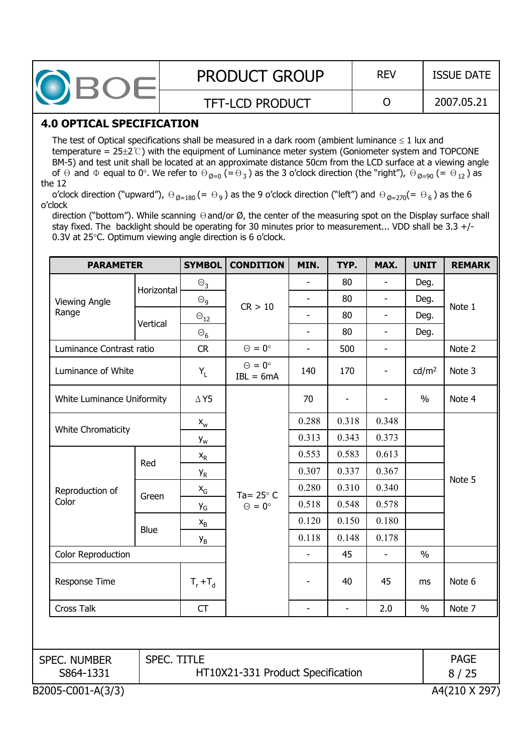| <b>PRODUCT GROUP</b>   | <b>REV</b> | <b>ISSUE DATE</b> |
|------------------------|------------|-------------------|
| <b>TFT-LCD PRODUCT</b> |            | 2007.05.21        |

### **4.0 OPTICAL SPECIFICATION**

The test of Optical specifications shall be measured in a dark room (ambient luminance  $\leq 1$  lux and temperature =  $25\pm2\degree$ ) with the equipment of Luminance meter system (Goniometer system and TOPCONE BM-5) and test unit shall be located at an approximate distance 50cm from the LCD surface at a viewing angle of  $\Theta$  and  $\Phi$  equal to 0°. We refer to  $\Theta_{\emptyset=0} (= \Theta_3)$  as the 3 o'clock direction (the "right"),  $\Theta_{\emptyset=90} (= \Theta_{12})$  as the 12

o'clock direction ("upward"),  $\Theta_{\emptyset=180} (= \Theta_9)$  as the 9 o'clock direction ("left") and  $\Theta_{\emptyset=270} (= \Theta_6)$  as the 6 o'clock

direction ("bottom"). While scanning  $\Theta$  and/or  $\varnothing$ , the center of the measuring spot on the Display surface shall stay fixed. The backlight should be operating for 30 minutes prior to measurement... VDD shall be 3.3 +/- 0.3V at  $25^{\circ}$ C. Optimum viewing angle direction is 6 o'clock.

| <b>PARAMETER</b>                   |                                           | <b>SYMBOL</b>             | <b>CONDITION</b>                    | MIN.           | TYP.                     | MAX.                     | <b>UNIT</b>       | <b>REMARK</b> |
|------------------------------------|-------------------------------------------|---------------------------|-------------------------------------|----------------|--------------------------|--------------------------|-------------------|---------------|
|                                    |                                           | $\Theta_3$                |                                     |                | 80                       |                          | Deg.              |               |
| <b>Viewing Angle</b>               | Horizontal                                | $\Theta_{9}$              | CR > 10                             |                | 80                       | $\overline{\phantom{0}}$ | Deg.              |               |
| Range                              | Vertical                                  | $\Theta_{12}$             |                                     |                | 80                       | $\overline{\phantom{0}}$ | Deg.              | Note 1        |
|                                    |                                           | $\Theta_6$                |                                     | $\blacksquare$ | 80                       | $\overline{a}$           | Deg.              |               |
| Luminance Contrast ratio           |                                           | <b>CR</b>                 | $\Theta = 0^{\circ}$                | $\blacksquare$ | 500                      | $\overline{a}$           |                   | Note 2        |
| Luminance of White                 |                                           | $Y_L$                     | $\Theta = 0^{\circ}$<br>$IBL = 6mA$ | 140            | 170                      |                          | cd/m <sup>2</sup> | Note 3        |
| White Luminance Uniformity         |                                           | $\Delta$ Y5               |                                     | 70             |                          |                          | $\frac{0}{0}$     | Note 4        |
|                                    |                                           | $\mathsf{X}_{\mathsf{W}}$ |                                     | 0.288          | 0.318                    | 0.348                    |                   |               |
| White Chromaticity                 |                                           | $Y_{w}$                   |                                     | 0.313          | 0.343                    | 0.373                    |                   |               |
|                                    |                                           | $\mathsf{x}_{\mathsf{R}}$ |                                     | 0.553          | 0.583                    | 0.613                    |                   |               |
|                                    | Red                                       | y <sub>r</sub>            | Ta= $25^{\circ}$ C                  | 0.307          | 0.337                    | 0.367                    |                   | Note 5        |
| Reproduction of                    |                                           | $X_G$                     |                                     | 0.280          | 0.310                    | 0.340                    |                   |               |
| Color                              | Green                                     | y <sub>G</sub>            | $\Theta = 0^{\circ}$                | 0.518          | 0.548                    | 0.578                    |                   |               |
|                                    |                                           | $\mathsf{x}_{\mathsf{B}}$ |                                     | 0.120          | 0.150                    | 0.180                    |                   |               |
|                                    | Blue                                      | У <sub>В</sub>            |                                     | 0.118          | 0.148                    | 0.178                    |                   |               |
| Color Reproduction                 |                                           |                           |                                     | $\frac{1}{2}$  | 45                       | $\blacksquare$           | $\%$              |               |
| Response Time<br><b>Cross Talk</b> |                                           | $T_r + T_d$               |                                     |                | 40                       | 45                       | ms                | Note 6        |
|                                    |                                           | <b>CT</b>                 |                                     | $\overline{a}$ | $\overline{\phantom{a}}$ | 2.0                      | $\frac{0}{0}$     | Note 7        |
|                                    |                                           |                           |                                     |                |                          |                          |                   |               |
| SPEC. TITLE<br><b>SPEC. NUMBER</b> |                                           |                           |                                     |                |                          |                          | <b>PAGE</b>       |               |
| S864-1331                          | HT10X21-331 Product Specification<br>8/25 |                           |                                     |                |                          |                          |                   |               |
| B2005-C001-A(3/3)                  |                                           |                           |                                     |                |                          |                          |                   | A4(210 X 297) |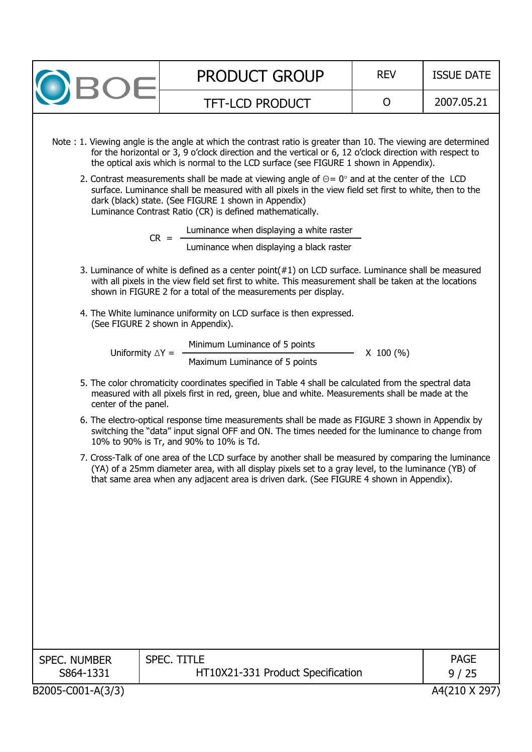| <b>PRODUCT GROUP</b><br><b>REV</b><br><b>ISSUE DATE</b><br><b>BOE</b><br>2007.05.21<br>$\mathsf{O}$<br><b>TFT-LCD PRODUCT</b><br>Note: 1. Viewing angle is the angle at which the contrast ratio is greater than 10. The viewing are determined<br>for the horizontal or 3, 9 o'clock direction and the vertical or 6, 12 o'clock direction with respect to<br>the optical axis which is normal to the LCD surface (see FIGURE 1 shown in Appendix).<br>2. Contrast measurements shall be made at viewing angle of $\Theta = 0^{\circ}$ and at the center of the LCD<br>surface. Luminance shall be measured with all pixels in the view field set first to white, then to the<br>dark (black) state. (See FIGURE 1 shown in Appendix)<br>Luminance Contrast Ratio (CR) is defined mathematically.<br>Luminance when displaying a white raster<br>$CR =$<br>Luminance when displaying a black raster<br>3. Luminance of white is defined as a center point $(#1)$ on LCD surface. Luminance shall be measured<br>with all pixels in the view field set first to white. This measurement shall be taken at the locations<br>shown in FIGURE 2 for a total of the measurements per display.<br>4. The White luminance uniformity on LCD surface is then expressed.<br>(See FIGURE 2 shown in Appendix).<br>Minimum Luminance of 5 points<br>Uniformity $\Delta Y =$<br>$X$ 100 (%)<br>Maximum Luminance of 5 points<br>5. The color chromaticity coordinates specified in Table 4 shall be calculated from the spectral data<br>measured with all pixels first in red, green, blue and white. Measurements shall be made at the<br>center of the panel.<br>6. The electro-optical response time measurements shall be made as FIGURE 3 shown in Appendix by<br>switching the "data" input signal OFF and ON. The times needed for the luminance to change from<br>10% to 90% is Tr, and 90% to 10% is Td.<br>7. Cross-Talk of one area of the LCD surface by another shall be measured by comparing the luminance<br>(YA) of a 25mm diameter area, with all display pixels set to a gray level, to the luminance (YB) of<br>that same area when any adjacent area is driven dark. (See FIGURE 4 shown in Appendix).<br><b>SPEC. TITLE</b><br><b>PAGE</b><br><b>SPEC. NUMBER</b><br>S864-1331<br>HT10X21-331 Product Specification<br>9/25 |                   |  |               |
|-----------------------------------------------------------------------------------------------------------------------------------------------------------------------------------------------------------------------------------------------------------------------------------------------------------------------------------------------------------------------------------------------------------------------------------------------------------------------------------------------------------------------------------------------------------------------------------------------------------------------------------------------------------------------------------------------------------------------------------------------------------------------------------------------------------------------------------------------------------------------------------------------------------------------------------------------------------------------------------------------------------------------------------------------------------------------------------------------------------------------------------------------------------------------------------------------------------------------------------------------------------------------------------------------------------------------------------------------------------------------------------------------------------------------------------------------------------------------------------------------------------------------------------------------------------------------------------------------------------------------------------------------------------------------------------------------------------------------------------------------------------------------------------------------------------------------------------------------------------------------------------------------------------------------------------------------------------------------------------------------------------------------------------------------------------------------------------------------------------------------------------------------------------------------------------------------------------------------------------------------------------------------------------------------------------------------------------------|-------------------|--|---------------|
|                                                                                                                                                                                                                                                                                                                                                                                                                                                                                                                                                                                                                                                                                                                                                                                                                                                                                                                                                                                                                                                                                                                                                                                                                                                                                                                                                                                                                                                                                                                                                                                                                                                                                                                                                                                                                                                                                                                                                                                                                                                                                                                                                                                                                                                                                                                                         |                   |  |               |
|                                                                                                                                                                                                                                                                                                                                                                                                                                                                                                                                                                                                                                                                                                                                                                                                                                                                                                                                                                                                                                                                                                                                                                                                                                                                                                                                                                                                                                                                                                                                                                                                                                                                                                                                                                                                                                                                                                                                                                                                                                                                                                                                                                                                                                                                                                                                         |                   |  |               |
|                                                                                                                                                                                                                                                                                                                                                                                                                                                                                                                                                                                                                                                                                                                                                                                                                                                                                                                                                                                                                                                                                                                                                                                                                                                                                                                                                                                                                                                                                                                                                                                                                                                                                                                                                                                                                                                                                                                                                                                                                                                                                                                                                                                                                                                                                                                                         |                   |  |               |
|                                                                                                                                                                                                                                                                                                                                                                                                                                                                                                                                                                                                                                                                                                                                                                                                                                                                                                                                                                                                                                                                                                                                                                                                                                                                                                                                                                                                                                                                                                                                                                                                                                                                                                                                                                                                                                                                                                                                                                                                                                                                                                                                                                                                                                                                                                                                         |                   |  |               |
|                                                                                                                                                                                                                                                                                                                                                                                                                                                                                                                                                                                                                                                                                                                                                                                                                                                                                                                                                                                                                                                                                                                                                                                                                                                                                                                                                                                                                                                                                                                                                                                                                                                                                                                                                                                                                                                                                                                                                                                                                                                                                                                                                                                                                                                                                                                                         |                   |  |               |
|                                                                                                                                                                                                                                                                                                                                                                                                                                                                                                                                                                                                                                                                                                                                                                                                                                                                                                                                                                                                                                                                                                                                                                                                                                                                                                                                                                                                                                                                                                                                                                                                                                                                                                                                                                                                                                                                                                                                                                                                                                                                                                                                                                                                                                                                                                                                         |                   |  |               |
|                                                                                                                                                                                                                                                                                                                                                                                                                                                                                                                                                                                                                                                                                                                                                                                                                                                                                                                                                                                                                                                                                                                                                                                                                                                                                                                                                                                                                                                                                                                                                                                                                                                                                                                                                                                                                                                                                                                                                                                                                                                                                                                                                                                                                                                                                                                                         |                   |  |               |
|                                                                                                                                                                                                                                                                                                                                                                                                                                                                                                                                                                                                                                                                                                                                                                                                                                                                                                                                                                                                                                                                                                                                                                                                                                                                                                                                                                                                                                                                                                                                                                                                                                                                                                                                                                                                                                                                                                                                                                                                                                                                                                                                                                                                                                                                                                                                         |                   |  |               |
|                                                                                                                                                                                                                                                                                                                                                                                                                                                                                                                                                                                                                                                                                                                                                                                                                                                                                                                                                                                                                                                                                                                                                                                                                                                                                                                                                                                                                                                                                                                                                                                                                                                                                                                                                                                                                                                                                                                                                                                                                                                                                                                                                                                                                                                                                                                                         | B2005-C001-A(3/3) |  | A4(210 X 297) |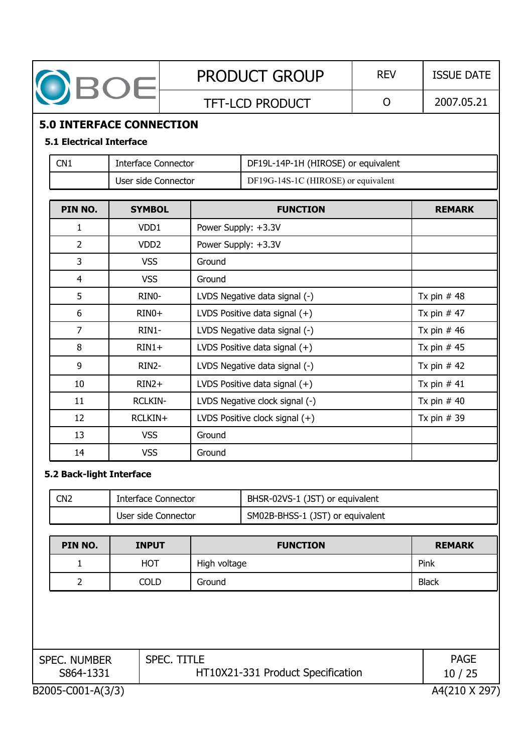| OBOE                                                               |                            |  |                     | <b>PRODUCT GROUP</b>                | <b>REV</b> | <b>ISSUE DATE</b> |  |  |  |
|--------------------------------------------------------------------|----------------------------|--|---------------------|-------------------------------------|------------|-------------------|--|--|--|
|                                                                    |                            |  |                     | <b>TFT-LCD PRODUCT</b>              | O          | 2007.05.21        |  |  |  |
| <b>5.0 INTERFACE CONNECTION</b><br><b>5.1 Electrical Interface</b> |                            |  |                     |                                     |            |                   |  |  |  |
| CN <sub>1</sub>                                                    | <b>Interface Connector</b> |  |                     | DF19L-14P-1H (HIROSE) or equivalent |            |                   |  |  |  |
|                                                                    | User side Connector        |  |                     | DF19G-14S-1C (HIROSE) or equivalent |            |                   |  |  |  |
| PIN NO.<br><b>SYMBOL</b>                                           |                            |  |                     | <b>FUNCTION</b>                     |            | <b>REMARK</b>     |  |  |  |
| 1                                                                  | VDD <sub>1</sub>           |  | Power Supply: +3.3V |                                     |            |                   |  |  |  |
| $\overline{2}$                                                     | VDD <sub>2</sub>           |  | Power Supply: +3.3V |                                     |            |                   |  |  |  |
| 3                                                                  | <b>VSS</b>                 |  |                     |                                     |            |                   |  |  |  |
| $\overline{4}$                                                     | <b>VSS</b>                 |  | Ground              |                                     |            |                   |  |  |  |
| 5                                                                  | RINO-                      |  |                     | LVDS Negative data signal (-)       |            | Tx pin $#48$      |  |  |  |
| 6                                                                  | $RINO+$                    |  |                     | LVDS Positive data signal (+)       |            | Tx pin $#47$      |  |  |  |
| $\overline{7}$                                                     | RIN1-                      |  |                     | LVDS Negative data signal (-)       |            | Tx pin $#46$      |  |  |  |
| 8                                                                  | $RIN1+$                    |  |                     | LVDS Positive data signal $(+)$     |            | Tx pin $#45$      |  |  |  |
| 9                                                                  | RIN2-                      |  |                     | LVDS Negative data signal (-)       |            | Tx pin $#42$      |  |  |  |
| 10                                                                 | $RIN2+$                    |  |                     | LVDS Positive data signal (+)       |            | Tx pin $#41$      |  |  |  |
| 11                                                                 | <b>RCLKIN-</b>             |  |                     | LVDS Negative clock signal (-)      |            | Tx pin $#40$      |  |  |  |
| 12                                                                 | RCLKIN+                    |  |                     | LVDS Positive clock signal (+)      |            | Tx pin $# 39$     |  |  |  |
| <b>VSS</b><br>13                                                   |                            |  | Ground              |                                     |            |                   |  |  |  |
| 14<br><b>VSS</b>                                                   |                            |  | Ground              |                                     |            |                   |  |  |  |
| 5.2 Back-light Interface                                           |                            |  |                     |                                     |            |                   |  |  |  |
| CN <sub>2</sub>                                                    | <b>Interface Connector</b> |  |                     | BHSR-02VS-1 (JST) or equivalent     |            |                   |  |  |  |
|                                                                    |                            |  |                     |                                     |            |                   |  |  |  |

| ---- |                     |                                  |
|------|---------------------|----------------------------------|
|      | User side Connector | SM02B-BHSS-1 (JST) or equivalent |
|      |                     |                                  |
|      |                     |                                  |

| PIN NO. | <b>INPUT</b> | <b>FUNCTION</b> | <b>REMARK</b> |
|---------|--------------|-----------------|---------------|
|         | <b>HOT</b>   | High voltage    | Pink          |
|         | COLD         | Ground          | <b>Black</b>  |

| <b>SPEC. NUMBER</b> | <b>SPEC. TITLE</b>                | <b>PAGE</b>   |
|---------------------|-----------------------------------|---------------|
| S864-1331           | HT10X21-331 Product Specification | 10/25         |
| B2005-C001-A(3/3)   |                                   | A4(210 X 297) |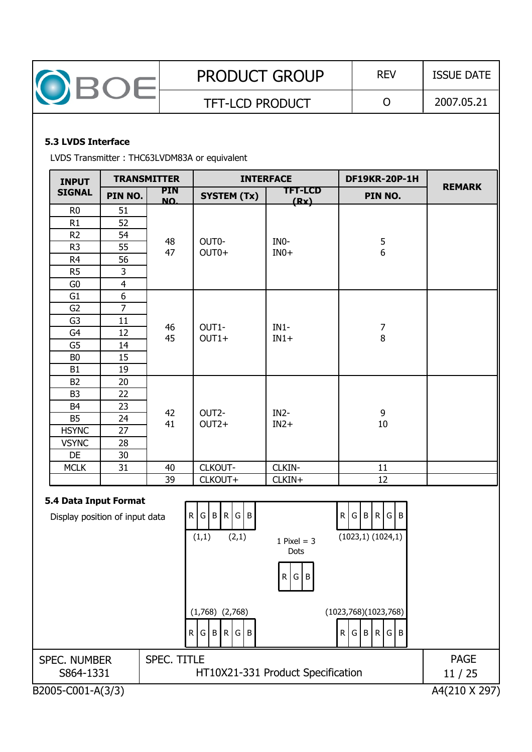| $\mathcal{L}$ | <b>PRODUCT GROUP</b>   | <b>REV</b> | <b>ISSUE DATE</b> |
|---------------|------------------------|------------|-------------------|
|               | <b>TFT-LCD PRODUCT</b> |            | 2007.05.21        |

#### **5.3 LVDS Interface**

LVDS Transmitter : THC63LVDM83A or equivalent

| <b>INPUT</b>                                            |                | <b>TRANSMITTER</b> |                               | <b>INTERFACE</b>       | <b>DF19KR-20P-1H</b>                  |               |
|---------------------------------------------------------|----------------|--------------------|-------------------------------|------------------------|---------------------------------------|---------------|
| <b>SIGNAL</b>                                           | PIN NO.        | <b>PIN</b><br>NO.  | <b>SYSTEM (Tx)</b>            | <b>TFT-LCD</b><br>(Rx) | PIN NO.                               | <b>REMARK</b> |
| R <sub>0</sub>                                          | 51             |                    |                               |                        |                                       |               |
| R1                                                      | 52             |                    |                               |                        |                                       |               |
| R <sub>2</sub>                                          | 54             |                    |                               |                        |                                       |               |
| R <sub>3</sub>                                          | 55             | 48<br>47           | OUT0-<br>OUT0+                | INO-<br>$INO+$         | $\begin{array}{c} 5 \\ 6 \end{array}$ |               |
| R <sub>4</sub>                                          | 56             |                    |                               |                        |                                       |               |
| R <sub>5</sub>                                          | 3              |                    |                               |                        |                                       |               |
| G0                                                      | $\overline{4}$ |                    |                               |                        |                                       |               |
| G1                                                      | $\overline{6}$ |                    |                               |                        |                                       |               |
| G2                                                      | $\overline{7}$ |                    |                               |                        |                                       |               |
| G <sub>3</sub>                                          | 11             | 46                 | OUT1-                         | $IN1-$                 |                                       |               |
| G4                                                      | 12             | 45                 | $OUT1+$                       | $IN1+$                 | $\begin{array}{c} 7 \\ 8 \end{array}$ |               |
| G <sub>5</sub>                                          | 14             |                    |                               |                        |                                       |               |
| B <sub>0</sub>                                          | 15             |                    |                               |                        |                                       |               |
| <b>B1</b>                                               | 19             |                    |                               |                        |                                       |               |
| B <sub>2</sub>                                          | 20             |                    |                               |                        |                                       |               |
| B <sub>3</sub>                                          | 22             |                    |                               |                        |                                       |               |
| B <sub>4</sub>                                          | 23             | 42                 | OUT2-                         | $IN2-$                 | 9                                     |               |
| <b>B5</b>                                               | 24             | 41                 | $OUT2+$                       | $IN2+$                 | 10                                    |               |
| <b>HSYNC</b>                                            | 27             |                    |                               |                        |                                       |               |
| <b>VSYNC</b>                                            | 28             |                    |                               |                        |                                       |               |
| DE                                                      | 30             |                    |                               |                        |                                       |               |
| <b>MCLK</b>                                             | 31             | 40                 | CLKOUT-                       | CLKIN-                 | 11                                    |               |
|                                                         |                | 39                 | CLKOUT+                       | CLKIN+                 | 12                                    |               |
| 5.4 Data Input Format<br>Display position of input data |                |                    | R G B R G B<br>(2,1)<br>(1,1) | 1 Pixel = $3$<br>Dots  | R G B R G B<br>(1023,1)(1024,1)       |               |
|                                                         |                |                    |                               |                        |                                       |               |

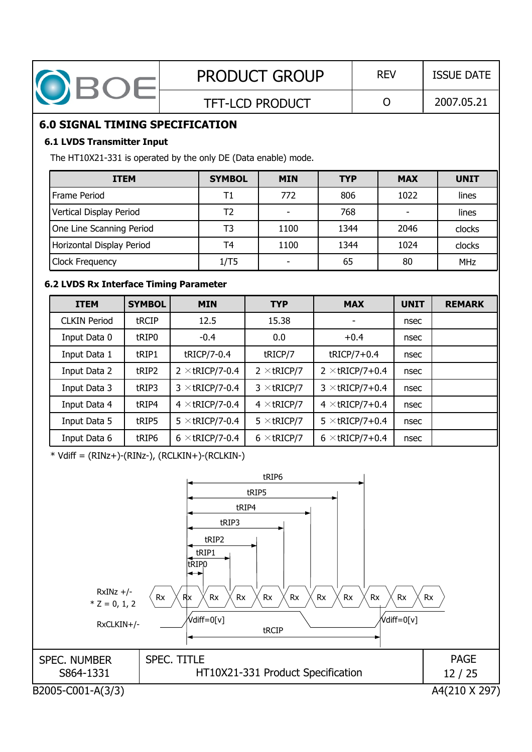| <b>PRODUCT GROUP</b><br><b>REV</b><br><b>ISSUE DATE</b><br>OBOE                                                                                                                                                                                                                                                                            |                                                                                         |                    |                        |                                   |             |                              |             |                                       |  |  |
|--------------------------------------------------------------------------------------------------------------------------------------------------------------------------------------------------------------------------------------------------------------------------------------------------------------------------------------------|-----------------------------------------------------------------------------------------|--------------------|------------------------|-----------------------------------|-------------|------------------------------|-------------|---------------------------------------|--|--|
|                                                                                                                                                                                                                                                                                                                                            |                                                                                         |                    |                        | <b>TFT-LCD PRODUCT</b>            |             | O                            |             | 2007.05.21                            |  |  |
| <b>6.0 SIGNAL TIMING SPECIFICATION</b>                                                                                                                                                                                                                                                                                                     |                                                                                         |                    |                        |                                   |             |                              |             |                                       |  |  |
| <b>6.1 LVDS Transmitter Input</b>                                                                                                                                                                                                                                                                                                          |                                                                                         |                    |                        |                                   |             |                              |             |                                       |  |  |
| The HT10X21-331 is operated by the only DE (Data enable) mode.                                                                                                                                                                                                                                                                             |                                                                                         |                    |                        |                                   |             |                              |             |                                       |  |  |
| <b>ITEM</b>                                                                                                                                                                                                                                                                                                                                | <b>MAX</b>                                                                              | <b>UNIT</b>        |                        |                                   |             |                              |             |                                       |  |  |
| Frame Period                                                                                                                                                                                                                                                                                                                               |                                                                                         |                    | T1                     | 772                               | 806         |                              | 1022        | lines                                 |  |  |
| T2<br>Vertical Display Period<br>768                                                                                                                                                                                                                                                                                                       |                                                                                         |                    |                        |                                   |             |                              |             | lines                                 |  |  |
| One Line Scanning Period                                                                                                                                                                                                                                                                                                                   |                                                                                         |                    | T <sub>3</sub>         | 1100                              | 1344        |                              | 2046        | clocks                                |  |  |
| Horizontal Display Period                                                                                                                                                                                                                                                                                                                  |                                                                                         |                    | T <sub>4</sub>         | 1100                              | 1344        |                              | 1024        | clocks                                |  |  |
| Clock Frequency                                                                                                                                                                                                                                                                                                                            |                                                                                         |                    | 1/T5                   |                                   | 65          |                              | 80          | <b>MHz</b>                            |  |  |
| 6.2 LVDS Rx Interface Timing Parameter                                                                                                                                                                                                                                                                                                     |                                                                                         |                    |                        |                                   |             |                              |             |                                       |  |  |
| <b>ITEM</b>                                                                                                                                                                                                                                                                                                                                | <b>SYMBOL</b>                                                                           |                    | <b>MIN</b>             | <b>TYP</b>                        |             | <b>MAX</b>                   | <b>UNIT</b> | <b>REMARK</b>                         |  |  |
| <b>CLKIN Period</b>                                                                                                                                                                                                                                                                                                                        | tRCIP                                                                                   |                    | 12.5                   | 15.38                             |             | $\qquad \qquad \blacksquare$ | nsec        |                                       |  |  |
| Input Data 0                                                                                                                                                                                                                                                                                                                               | tRIP0                                                                                   |                    | $-0.4$                 | 0.0                               |             | $+0.4$                       | nsec        |                                       |  |  |
| Input Data 1                                                                                                                                                                                                                                                                                                                               | tRIP1                                                                                   | tRICP/7-0.4        | tRICP/7                |                                   | tRICP/7+0.4 | nsec                         |             |                                       |  |  |
| Input Data 2<br>$2 \times$ tRICP/7-0.4<br>tRIP2<br>$2 \times tRICP/7$<br>$2 \times$ tRICP/7+0.4                                                                                                                                                                                                                                            |                                                                                         |                    |                        |                                   |             | nsec                         |             |                                       |  |  |
| Input Data 3                                                                                                                                                                                                                                                                                                                               | $3 \times$ tRICP/7-0.4<br>$3 \times tRICP/7$<br>$3 \times$ tRICP/7+0.4<br>tRIP3<br>nsec |                    |                        |                                   |             |                              |             |                                       |  |  |
| Input Data 4                                                                                                                                                                                                                                                                                                                               | tRIP4                                                                                   |                    | $4 \times$ tricp/7-0.4 | $4 \times tRICP/7$                |             | $4 \times tRICP/7+0.4$       | nsec        |                                       |  |  |
| Input Data 5                                                                                                                                                                                                                                                                                                                               | tRIP5                                                                                   |                    | $5 \times$ tRICP/7-0.4 | $5 \times$ tricp/7                |             | $5 \times$ tRICP/7+0.4       | nsec        |                                       |  |  |
| Input Data 6                                                                                                                                                                                                                                                                                                                               | tRIP6                                                                                   |                    |                        | $6 \times$ tricp/7                |             |                              | nsec        |                                       |  |  |
| $6 \times$ tricp/7-0.4<br>$6 \times$ tRICP/7+0.4<br>$*$ Vdiff = (RINz+)-(RINz-), (RCLKIN+)-(RCLKIN-)<br>tRIP6<br>tRIP5<br>tRIP4<br>tRIP3<br>tRIP2<br>tRIP1<br>tripo<br>$RxINz +/-$<br>Rx<br>$\mathsf{Rx}$<br>Rx<br>Rx<br>Rx<br>Rx<br>Rx<br>Rx<br>Rx<br>Rx<br>Rx<br>$*$ Z = 0, 1, 2<br>,<br>Vdiff=0[v]<br>Vdiff=0[v]<br>RxCLKIN+/-<br>tRCIP |                                                                                         |                    |                        |                                   |             |                              |             |                                       |  |  |
| <b>SPEC. NUMBER</b><br>S864-1331<br>B2005-C001-A(3/3)                                                                                                                                                                                                                                                                                      |                                                                                         | <b>SPEC. TITLE</b> |                        | HT10X21-331 Product Specification |             |                              |             | <b>PAGE</b><br>12/25<br>A4(210 X 297) |  |  |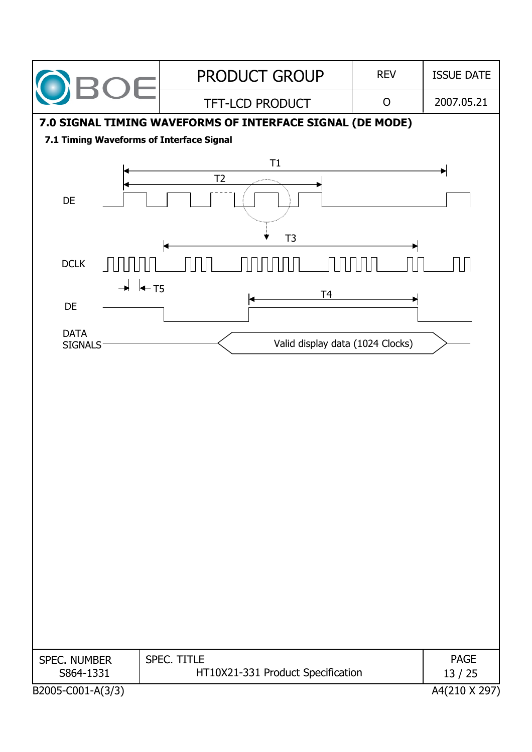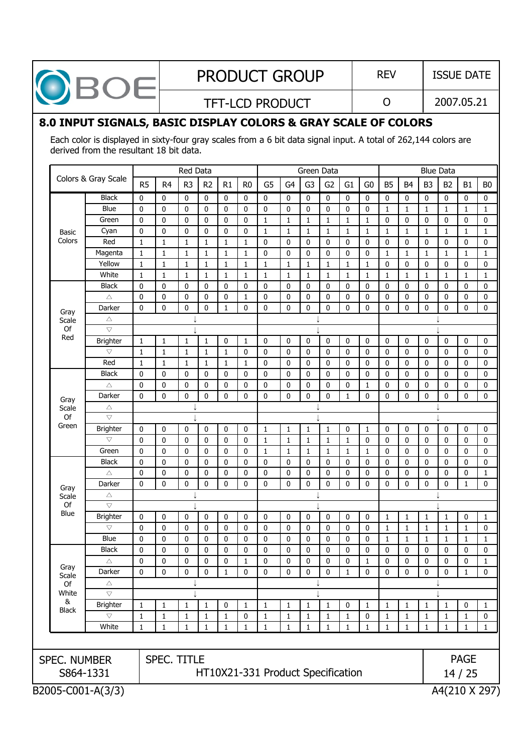| <b>PRODU</b>   |
|----------------|
| <b>TFT-LCD</b> |

## $\texttt{PCT}$  GROUP | REV | ISSUE DATE

TFT-LCD PRODUCT  $\begin{vmatrix} 0 & 2007.05.21 \end{vmatrix}$ 

## **8.0 INPUT SIGNALS, BASIC DISPLAY COLORS & GRAY SCALE OF COLORS**

Each color is displayed in sixty-four gray scales from a 6 bit data signal input. A total of 262,144 colors are derived from the resultant 18 bit data.

| Colors & Gray Scale<br><b>Black</b><br><b>Blue</b><br>Green<br>Cyan<br>Red<br>Magenta<br>Yellow<br>White<br><b>Black</b><br>Δ<br>Darker<br>Δ<br>$\bigtriangledown$<br><b>Brighter</b><br>$\bigtriangledown$<br>Red<br><b>Black</b><br>Δ<br>Darker<br>Δ | R <sub>5</sub><br>0<br>0<br>0<br>0<br>1<br>1<br>$\mathbf{1}$<br>$\mathbf{1}$<br>0<br>0<br>0<br>$\mathbf{1}$<br>$\mathbf{1}$<br>$\mathbf{1}$<br>0<br>0<br>0 | R <sub>4</sub><br>$\mathbf 0$<br>0<br>0<br>0<br>$\mathbf{1}$<br>$\mathbf{1}$<br>$1\,$<br>1<br>$\mathbf 0$<br>0<br>0<br>$\mathbf{1}$<br>$\mathbf{1}$<br>$\mathbf 1$<br>$\mathbf 0$ | R <sub>3</sub><br>$\mathbf 0$<br>0<br>$\mathbf 0$<br>0<br>1<br>1<br>$\mathbf{1}$<br>1<br>0<br>0<br>0<br>$\mathbf{1}$<br>1 | R <sub>2</sub><br>$\mathbf 0$<br>0<br>0<br>0<br>1<br>1<br>1<br>1<br>$\mathbf 0$<br>0<br>0 | R1<br>$\mathbf 0$<br>0<br>0<br>0<br>1<br>$\mathbf{1}$<br>$\mathbf 1$<br>$1\,$<br>0<br>0<br>$\mathbf{1}$ | R <sub>0</sub><br>$\mathbf 0$<br>$\mathbf 0$<br>$\mathbf 0$<br>0<br>1<br>1<br>1<br>1<br>0<br>$\mathbf{1}$ | G <sub>5</sub><br>0<br>0<br>$\mathbf{1}$<br>1<br>0<br>0<br>$\mathbf{1}$<br>$\mathbf{1}$<br>0 | G <sub>4</sub><br>$\mathbf 0$<br>$\mathbf 0$<br>$\mathbf{1}$<br>1<br>$\mathbf 0$<br>$\bf{0}$<br>$\mathbf{1}$<br>1 | G <sub>3</sub><br>$\mathbf 0$<br>0<br>$\mathbf{1}$<br>1<br>0<br>0<br>1<br>1 | G <sub>2</sub><br>$\mathbf 0$<br>$\mathbf 0$<br>$\mathbf{1}$<br>1<br>0<br>0<br>1 | G1<br>$\mathbf 0$<br>0<br>$\mathbf 1$<br>1<br>0<br>0<br>$\mathbf{1}$ | G <sub>0</sub><br>0<br>0<br>$\mathbf 1$<br>1<br>0<br>0<br>$\mathbf{1}$ | B <sub>5</sub><br>$\mathbf 0$<br>1<br>$\mathbf 0$<br>1<br>$\mathbf 0$<br>1 | B <sub>4</sub><br>0<br>1<br>0<br>1<br>0<br>1 | B <sub>3</sub><br>$\mathbf 0$<br>1<br>$\mathbf 0$<br>1<br>$\mathbf 0$<br>1 | B <sub>2</sub><br>$\mathbf 0$<br>1<br>0<br>1<br>0<br>1 | B1<br>$\mathbf 0$<br>$\mathbf{1}$<br>$\mathbf 0$<br>$\mathbf{1}$<br>0<br>1 | B <sub>0</sub><br>$\mathbf 0$<br>$\mathbf{1}$<br>0<br>$\mathbf{1}$<br>0<br>$\mathbf{1}$ |
|--------------------------------------------------------------------------------------------------------------------------------------------------------------------------------------------------------------------------------------------------------|------------------------------------------------------------------------------------------------------------------------------------------------------------|-----------------------------------------------------------------------------------------------------------------------------------------------------------------------------------|---------------------------------------------------------------------------------------------------------------------------|-------------------------------------------------------------------------------------------|---------------------------------------------------------------------------------------------------------|-----------------------------------------------------------------------------------------------------------|----------------------------------------------------------------------------------------------|-------------------------------------------------------------------------------------------------------------------|-----------------------------------------------------------------------------|----------------------------------------------------------------------------------|----------------------------------------------------------------------|------------------------------------------------------------------------|----------------------------------------------------------------------------|----------------------------------------------|----------------------------------------------------------------------------|--------------------------------------------------------|----------------------------------------------------------------------------|-----------------------------------------------------------------------------------------|
|                                                                                                                                                                                                                                                        |                                                                                                                                                            |                                                                                                                                                                                   |                                                                                                                           |                                                                                           |                                                                                                         |                                                                                                           |                                                                                              |                                                                                                                   |                                                                             |                                                                                  |                                                                      |                                                                        |                                                                            |                                              |                                                                            |                                                        |                                                                            |                                                                                         |
|                                                                                                                                                                                                                                                        |                                                                                                                                                            |                                                                                                                                                                                   |                                                                                                                           |                                                                                           |                                                                                                         |                                                                                                           |                                                                                              |                                                                                                                   |                                                                             |                                                                                  |                                                                      |                                                                        |                                                                            |                                              |                                                                            |                                                        |                                                                            |                                                                                         |
|                                                                                                                                                                                                                                                        |                                                                                                                                                            |                                                                                                                                                                                   |                                                                                                                           |                                                                                           |                                                                                                         |                                                                                                           |                                                                                              |                                                                                                                   |                                                                             |                                                                                  |                                                                      |                                                                        |                                                                            |                                              |                                                                            |                                                        |                                                                            |                                                                                         |
|                                                                                                                                                                                                                                                        |                                                                                                                                                            |                                                                                                                                                                                   |                                                                                                                           |                                                                                           |                                                                                                         |                                                                                                           |                                                                                              |                                                                                                                   |                                                                             |                                                                                  |                                                                      |                                                                        |                                                                            |                                              |                                                                            |                                                        |                                                                            |                                                                                         |
|                                                                                                                                                                                                                                                        |                                                                                                                                                            |                                                                                                                                                                                   |                                                                                                                           |                                                                                           |                                                                                                         |                                                                                                           |                                                                                              |                                                                                                                   |                                                                             |                                                                                  |                                                                      |                                                                        |                                                                            |                                              |                                                                            |                                                        |                                                                            |                                                                                         |
|                                                                                                                                                                                                                                                        |                                                                                                                                                            |                                                                                                                                                                                   |                                                                                                                           |                                                                                           |                                                                                                         |                                                                                                           |                                                                                              |                                                                                                                   |                                                                             |                                                                                  |                                                                      |                                                                        |                                                                            |                                              |                                                                            |                                                        |                                                                            |                                                                                         |
|                                                                                                                                                                                                                                                        |                                                                                                                                                            |                                                                                                                                                                                   |                                                                                                                           |                                                                                           |                                                                                                         |                                                                                                           |                                                                                              |                                                                                                                   |                                                                             |                                                                                  |                                                                      |                                                                        |                                                                            |                                              |                                                                            |                                                        |                                                                            |                                                                                         |
|                                                                                                                                                                                                                                                        |                                                                                                                                                            |                                                                                                                                                                                   |                                                                                                                           |                                                                                           |                                                                                                         |                                                                                                           |                                                                                              |                                                                                                                   |                                                                             |                                                                                  |                                                                      |                                                                        | 0                                                                          | 0                                            | $\mathbf 0$                                                                | 0                                                      | 0                                                                          | 0                                                                                       |
|                                                                                                                                                                                                                                                        |                                                                                                                                                            |                                                                                                                                                                                   |                                                                                                                           |                                                                                           |                                                                                                         |                                                                                                           |                                                                                              |                                                                                                                   |                                                                             | 1                                                                                | $\mathbf{1}$                                                         | $\mathbf{1}$                                                           | 1                                                                          | 1                                            | 1                                                                          | 1                                                      | $\mathbf{1}$                                                               | $\mathbf{1}$                                                                            |
|                                                                                                                                                                                                                                                        |                                                                                                                                                            |                                                                                                                                                                                   |                                                                                                                           |                                                                                           |                                                                                                         |                                                                                                           |                                                                                              | $\mathbf 0$                                                                                                       | 0                                                                           | 0                                                                                | $\mathbf 0$                                                          | 0                                                                      | $\mathbf 0$                                                                | 0                                            | $\mathbf 0$                                                                | 0                                                      | 0                                                                          | 0                                                                                       |
|                                                                                                                                                                                                                                                        |                                                                                                                                                            |                                                                                                                                                                                   |                                                                                                                           |                                                                                           |                                                                                                         |                                                                                                           | 0                                                                                            | $\mathbf 0$                                                                                                       | 0                                                                           | 0                                                                                | 0                                                                    | 0                                                                      | 0                                                                          | 0                                            | $\mathbf 0$                                                                | 0                                                      | 0                                                                          | 0                                                                                       |
|                                                                                                                                                                                                                                                        |                                                                                                                                                            |                                                                                                                                                                                   |                                                                                                                           |                                                                                           |                                                                                                         | 0                                                                                                         | 0                                                                                            | 0                                                                                                                 | 0                                                                           | 0                                                                                | $\mathbf 0$                                                          | 0                                                                      | $\mathbf 0$                                                                | 0                                            | 0                                                                          | 0                                                      | 0                                                                          | 0                                                                                       |
|                                                                                                                                                                                                                                                        |                                                                                                                                                            |                                                                                                                                                                                   |                                                                                                                           |                                                                                           |                                                                                                         |                                                                                                           |                                                                                              |                                                                                                                   |                                                                             |                                                                                  |                                                                      |                                                                        |                                                                            |                                              |                                                                            |                                                        |                                                                            |                                                                                         |
|                                                                                                                                                                                                                                                        |                                                                                                                                                            |                                                                                                                                                                                   |                                                                                                                           |                                                                                           |                                                                                                         |                                                                                                           |                                                                                              |                                                                                                                   |                                                                             |                                                                                  |                                                                      |                                                                        |                                                                            |                                              |                                                                            |                                                        |                                                                            |                                                                                         |
|                                                                                                                                                                                                                                                        |                                                                                                                                                            |                                                                                                                                                                                   |                                                                                                                           | $\mathbf{1}$                                                                              | 0                                                                                                       | $\mathbf{1}$                                                                                              | $\mathbf 0$                                                                                  | $\mathbf 0$                                                                                                       | 0                                                                           | $\mathbf 0$                                                                      | $\mathbf 0$                                                          | 0                                                                      | $\mathbf 0$                                                                | 0                                            | $\mathbf 0$                                                                | 0                                                      | $\mathbf 0$                                                                | 0                                                                                       |
|                                                                                                                                                                                                                                                        |                                                                                                                                                            |                                                                                                                                                                                   |                                                                                                                           | 1                                                                                         | $\mathbf{1}$                                                                                            | $\mathbf 0$                                                                                               | 0                                                                                            | $\mathbf 0$                                                                                                       | 0                                                                           | $\mathbf 0$                                                                      | $\mathbf 0$                                                          | 0                                                                      | $\mathbf 0$                                                                | 0                                            | $\mathbf 0$                                                                | $\mathbf 0$                                            | $\mathbf 0$                                                                | 0                                                                                       |
|                                                                                                                                                                                                                                                        |                                                                                                                                                            |                                                                                                                                                                                   | 1                                                                                                                         | $\mathbf{1}$                                                                              | $1\,$                                                                                                   | $\mathbf{1}$                                                                                              | 0                                                                                            | $\mathbf 0$                                                                                                       | 0                                                                           | 0                                                                                | $\mathbf 0$                                                          | 0                                                                      | 0                                                                          | 0                                            | $\mathbf 0$                                                                | $\mathbf 0$                                            | $\mathbf 0$                                                                | 0                                                                                       |
|                                                                                                                                                                                                                                                        |                                                                                                                                                            |                                                                                                                                                                                   | 0                                                                                                                         | $\mathbf 0$                                                                               | 0                                                                                                       | $\mathbf 0$                                                                                               | 0                                                                                            | $\mathbf 0$                                                                                                       | 0                                                                           | $\mathbf 0$                                                                      | $\mathbf 0$                                                          | 0                                                                      | 0                                                                          | 0                                            | $\mathbf 0$                                                                | 0                                                      | $\mathbf 0$                                                                | 0                                                                                       |
|                                                                                                                                                                                                                                                        |                                                                                                                                                            | $\mathbf 0$                                                                                                                                                                       | 0                                                                                                                         | 0                                                                                         | 0                                                                                                       | $\mathbf 0$                                                                                               | 0                                                                                            | $\pmb{0}$                                                                                                         | 0                                                                           | $\mathbf 0$                                                                      | 0                                                                    | $\mathbf{1}$                                                           | 0                                                                          | 0                                            | $\mathbf 0$                                                                | 0                                                      | 0                                                                          | 0                                                                                       |
|                                                                                                                                                                                                                                                        |                                                                                                                                                            | $\mathbf{0}$                                                                                                                                                                      | 0                                                                                                                         | $\mathbf{0}$                                                                              | $\Omega$                                                                                                | $\mathbf{0}$                                                                                              | 0                                                                                            | $\Omega$                                                                                                          | $\mathbf{0}$                                                                | $\mathbf{0}$                                                                     | $\mathbf{1}$                                                         | 0                                                                      | 0                                                                          | $\mathbf{0}$                                 | $\mathbf 0$                                                                | $\mathbf{0}$                                           | $\mathbf 0$                                                                | 0                                                                                       |
|                                                                                                                                                                                                                                                        |                                                                                                                                                            |                                                                                                                                                                                   |                                                                                                                           |                                                                                           |                                                                                                         |                                                                                                           |                                                                                              |                                                                                                                   |                                                                             |                                                                                  |                                                                      |                                                                        |                                                                            |                                              |                                                                            |                                                        |                                                                            |                                                                                         |
| $\overline{\nabla}$                                                                                                                                                                                                                                    |                                                                                                                                                            |                                                                                                                                                                                   |                                                                                                                           |                                                                                           |                                                                                                         |                                                                                                           |                                                                                              |                                                                                                                   |                                                                             |                                                                                  |                                                                      |                                                                        |                                                                            |                                              |                                                                            |                                                        |                                                                            |                                                                                         |
| <b>Brighter</b>                                                                                                                                                                                                                                        | $\mathbf 0$                                                                                                                                                | $\pmb{0}$                                                                                                                                                                         | $\mathbf 0$                                                                                                               | 0                                                                                         | $\pmb{0}$                                                                                               | $\pmb{0}$                                                                                                 | $\mathbf{1}$                                                                                 | $\mathbf{1}$                                                                                                      | 1                                                                           | 1                                                                                | 0                                                                    | $\mathbf{1}$                                                           | $\mathbf 0$                                                                | 0                                            | 0                                                                          | $\mathbf 0$                                            | $\mathbf 0$                                                                | $\pmb{0}$                                                                               |
| $\bigtriangledown$                                                                                                                                                                                                                                     | $\mathbf 0$                                                                                                                                                | $\mathbf 0$                                                                                                                                                                       | 0                                                                                                                         | 0                                                                                         | $\mathbf 0$                                                                                             | 0                                                                                                         | $\mathbf{1}$                                                                                 | $\mathbf{1}$                                                                                                      | 1                                                                           | 1                                                                                | $\mathbf{1}$                                                         | 0                                                                      | 0                                                                          | 0                                            | 0                                                                          | 0                                                      | $\mathbf 0$                                                                | 0                                                                                       |
| Green                                                                                                                                                                                                                                                  | 0                                                                                                                                                          | $\mathbf 0$                                                                                                                                                                       | 0                                                                                                                         | 0                                                                                         | 0                                                                                                       | 0                                                                                                         | 1                                                                                            | $\mathbf{1}$                                                                                                      | 1                                                                           | 1                                                                                | $\mathbf{1}$                                                         | 1                                                                      | 0                                                                          | 0                                            | 0                                                                          | 0                                                      | 0                                                                          | 0                                                                                       |
| <b>Black</b>                                                                                                                                                                                                                                           | 0                                                                                                                                                          | $\mathbf 0$                                                                                                                                                                       | 0                                                                                                                         | 0                                                                                         | 0                                                                                                       | 0                                                                                                         | 0                                                                                            | $\mathbf 0$                                                                                                       | 0                                                                           | 0                                                                                | 0                                                                    | 0                                                                      | 0                                                                          | 0                                            | $\mathbf 0$                                                                | 0                                                      | 0                                                                          | 0                                                                                       |
| $\triangle$                                                                                                                                                                                                                                            | 0                                                                                                                                                          | $\bf{0}$                                                                                                                                                                          | 0                                                                                                                         | 0                                                                                         | 0                                                                                                       | 0                                                                                                         | 0                                                                                            | $\bf{0}$                                                                                                          | 0                                                                           | 0                                                                                | 0                                                                    | 0                                                                      | 0                                                                          | 0                                            | $\mathbf 0$                                                                | 0                                                      | 0                                                                          | $\mathbf{1}$                                                                            |
| Darker                                                                                                                                                                                                                                                 | 0                                                                                                                                                          | $\mathbf 0$                                                                                                                                                                       | 0                                                                                                                         | 0                                                                                         | 0                                                                                                       | 0                                                                                                         | 0                                                                                            | $\mathbf 0$                                                                                                       | 0                                                                           | 0                                                                                | $\mathbf 0$                                                          | 0                                                                      | $\mathbf 0$                                                                | 0                                            | $\mathbf 0$                                                                | 0                                                      | $\mathbf{1}$                                                               | 0                                                                                       |
| Δ                                                                                                                                                                                                                                                      |                                                                                                                                                            |                                                                                                                                                                                   | J                                                                                                                         |                                                                                           |                                                                                                         |                                                                                                           |                                                                                              |                                                                                                                   |                                                                             |                                                                                  |                                                                      |                                                                        |                                                                            |                                              |                                                                            |                                                        |                                                                            |                                                                                         |
| $\bigtriangledown$                                                                                                                                                                                                                                     |                                                                                                                                                            |                                                                                                                                                                                   |                                                                                                                           |                                                                                           |                                                                                                         |                                                                                                           |                                                                                              |                                                                                                                   |                                                                             |                                                                                  |                                                                      |                                                                        |                                                                            |                                              |                                                                            |                                                        |                                                                            |                                                                                         |
| <b>Brighter</b>                                                                                                                                                                                                                                        | 0                                                                                                                                                          | $\mathbf 0$                                                                                                                                                                       | $\mathbf 0$                                                                                                               | 0                                                                                         | 0                                                                                                       | 0                                                                                                         | 0                                                                                            | $\mathbf 0$                                                                                                       | $\mathbf 0$                                                                 | 0                                                                                | $\mathbf 0$                                                          | 0                                                                      | 1                                                                          | 1                                            | 1                                                                          | 1                                                      | $\mathbf 0$                                                                | $\mathbf{1}$                                                                            |
| $\bigtriangledown$                                                                                                                                                                                                                                     | 0                                                                                                                                                          | $\pmb{0}$                                                                                                                                                                         | $\mathbf 0$                                                                                                               | 0                                                                                         | 0                                                                                                       | $\mathbf 0$                                                                                               | $\mathbf 0$                                                                                  | $\mathbf 0$                                                                                                       | 0                                                                           | $\mathbf 0$                                                                      | $\mathbf 0$                                                          | 0                                                                      | $\mathbf{1}$                                                               | 1                                            | $\mathbf{1}$                                                               | $\mathbf{1}$                                           | $\mathbf{1}$                                                               | 0                                                                                       |
| <b>Blue</b>                                                                                                                                                                                                                                            | 0                                                                                                                                                          | $\mathbf 0$                                                                                                                                                                       | 0                                                                                                                         | 0                                                                                         | 0                                                                                                       | $\pmb{0}$                                                                                                 | 0                                                                                            | 0                                                                                                                 | 0                                                                           | 0                                                                                | 0                                                                    | 0                                                                      | 1                                                                          | 1                                            | 1                                                                          | 1                                                      | $\mathbf{1}$                                                               | $\mathbf{1}$                                                                            |
| <b>Black</b>                                                                                                                                                                                                                                           | 0                                                                                                                                                          | 0                                                                                                                                                                                 | 0                                                                                                                         | 0                                                                                         | 0                                                                                                       | $\pmb{0}$                                                                                                 | 0                                                                                            | $\mathbf 0$                                                                                                       | 0                                                                           | 0                                                                                | 0                                                                    | 0                                                                      | 0                                                                          | 0                                            | $\mathbf 0$                                                                | 0                                                      | $\mathbf 0$                                                                | 0                                                                                       |
| Δ                                                                                                                                                                                                                                                      | 0                                                                                                                                                          | 0                                                                                                                                                                                 | 0                                                                                                                         | $\mathbf 0$                                                                               | 0                                                                                                       | 1                                                                                                         | 0                                                                                            | $\mathbf 0$                                                                                                       | 0                                                                           | 0                                                                                | $\mathbf 0$                                                          | 1                                                                      | $\mathbf 0$                                                                | 0                                            | $\mathbf 0$                                                                | 0                                                      | 0                                                                          | $\mathbf{1}$                                                                            |
| Darker                                                                                                                                                                                                                                                 | 0                                                                                                                                                          | $\pmb{0}$                                                                                                                                                                         | 0                                                                                                                         | $\pmb{0}$                                                                                 | $\mathbf{1}$                                                                                            | $\pmb{0}$                                                                                                 | 0                                                                                            | $\pmb{0}$                                                                                                         | $\pmb{0}$                                                                   | 0                                                                                | $1\,$                                                                | $\pmb{0}$                                                              | $\bf{0}$                                                                   | 0                                            | $\pmb{0}$                                                                  | $\pmb{0}$                                              | $\mathbf{1}$                                                               | $\mathbf 0$                                                                             |
| Δ                                                                                                                                                                                                                                                      |                                                                                                                                                            |                                                                                                                                                                                   |                                                                                                                           |                                                                                           |                                                                                                         |                                                                                                           |                                                                                              |                                                                                                                   |                                                                             |                                                                                  |                                                                      |                                                                        |                                                                            |                                              |                                                                            |                                                        |                                                                            |                                                                                         |
| $\overline{\nabla}$                                                                                                                                                                                                                                    |                                                                                                                                                            |                                                                                                                                                                                   |                                                                                                                           |                                                                                           |                                                                                                         |                                                                                                           |                                                                                              |                                                                                                                   |                                                                             |                                                                                  |                                                                      |                                                                        |                                                                            |                                              |                                                                            |                                                        |                                                                            |                                                                                         |
| <b>Brighter</b>                                                                                                                                                                                                                                        | 1                                                                                                                                                          | 1                                                                                                                                                                                 | 1                                                                                                                         | 1                                                                                         | 0                                                                                                       | $\mathbf{1}$                                                                                              | $\mathbf{1}$                                                                                 | 1                                                                                                                 | 1                                                                           | 1                                                                                | 0                                                                    | $\mathbf{1}$                                                           | 1                                                                          | 1                                            | 1                                                                          | 1                                                      | 0                                                                          | 1                                                                                       |
| $\bigtriangledown$                                                                                                                                                                                                                                     | $\mathbf{1}$                                                                                                                                               | 1                                                                                                                                                                                 | 1                                                                                                                         | 1                                                                                         | 1                                                                                                       | 0                                                                                                         | 1                                                                                            | 1                                                                                                                 | 1                                                                           | 1                                                                                | $\mathbf{1}$                                                         | 0                                                                      | $\mathbf{1}$                                                               | 1                                            | 1                                                                          | 1                                                      | 1                                                                          | 0                                                                                       |
| White                                                                                                                                                                                                                                                  | $\mathbf 1$                                                                                                                                                | $\mathbf{1}$                                                                                                                                                                      | $\mathbf{1}$                                                                                                              | $\mathbf{1}$                                                                              | 1                                                                                                       | 1                                                                                                         | $\mathbf{1}$                                                                                 | $\mathbf{1}$                                                                                                      | 1                                                                           | 1                                                                                | $\mathbf{1}$                                                         | 1                                                                      | $\mathbf{1}$                                                               | 1                                            | 1                                                                          | 1                                                      | $\mathbf{1}$                                                               | $\mathbf{1}$                                                                            |
|                                                                                                                                                                                                                                                        |                                                                                                                                                            |                                                                                                                                                                                   |                                                                                                                           |                                                                                           |                                                                                                         |                                                                                                           |                                                                                              |                                                                                                                   |                                                                             |                                                                                  |                                                                      |                                                                        |                                                                            |                                              |                                                                            |                                                        |                                                                            |                                                                                         |
|                                                                                                                                                                                                                                                        |                                                                                                                                                            |                                                                                                                                                                                   |                                                                                                                           |                                                                                           |                                                                                                         |                                                                                                           |                                                                                              |                                                                                                                   |                                                                             |                                                                                  |                                                                      |                                                                        |                                                                            |                                              |                                                                            |                                                        |                                                                            |                                                                                         |
|                                                                                                                                                                                                                                                        |                                                                                                                                                            |                                                                                                                                                                                   |                                                                                                                           |                                                                                           |                                                                                                         |                                                                                                           |                                                                                              |                                                                                                                   |                                                                             |                                                                                  |                                                                      |                                                                        |                                                                            |                                              |                                                                            |                                                        |                                                                            |                                                                                         |
| <b>SPEC. NUMBER</b>                                                                                                                                                                                                                                    |                                                                                                                                                            |                                                                                                                                                                                   |                                                                                                                           |                                                                                           |                                                                                                         |                                                                                                           |                                                                                              |                                                                                                                   |                                                                             |                                                                                  |                                                                      |                                                                        |                                                                            |                                              |                                                                            |                                                        |                                                                            |                                                                                         |
|                                                                                                                                                                                                                                                        |                                                                                                                                                            |                                                                                                                                                                                   | S864-1331                                                                                                                 |                                                                                           | SPEC. TITLE                                                                                             |                                                                                                           |                                                                                              |                                                                                                                   |                                                                             |                                                                                  |                                                                      |                                                                        |                                                                            |                                              |                                                                            |                                                        |                                                                            | <b>PAGE</b><br>HT10X21-331 Product Specification<br>14/25                               |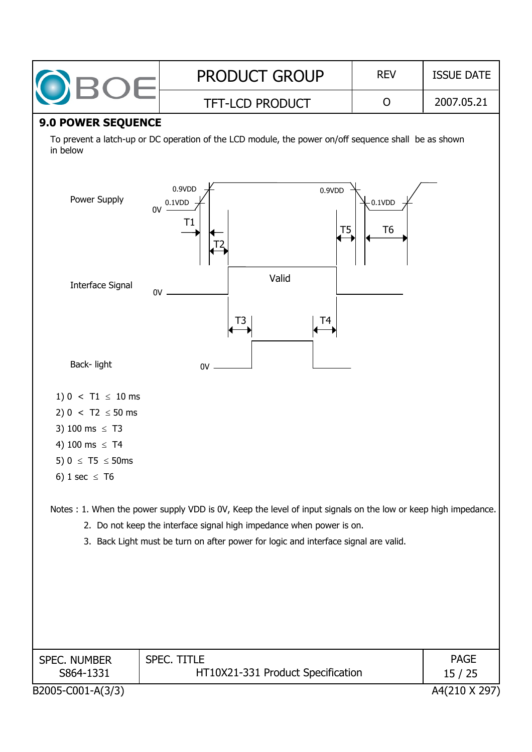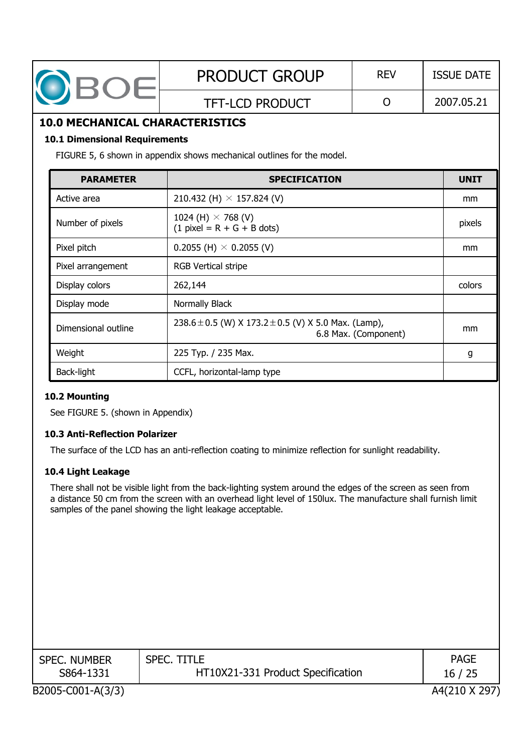| OBOE                                                                                        | <b>PRODUCT GROUP</b>                                                                                                                                                                                                                                                                     | <b>REV</b>           |  | <b>ISSUE DATE</b> |  |
|---------------------------------------------------------------------------------------------|------------------------------------------------------------------------------------------------------------------------------------------------------------------------------------------------------------------------------------------------------------------------------------------|----------------------|--|-------------------|--|
|                                                                                             | <b>TFT-LCD PRODUCT</b>                                                                                                                                                                                                                                                                   | $\overline{O}$       |  | 2007.05.21        |  |
| <b>10.0 MECHANICAL CHARACTERISTICS</b>                                                      |                                                                                                                                                                                                                                                                                          |                      |  |                   |  |
| <b>10.1 Dimensional Requirements</b>                                                        | FIGURE 5, 6 shown in appendix shows mechanical outlines for the model.                                                                                                                                                                                                                   |                      |  |                   |  |
| <b>PARAMETER</b>                                                                            | <b>SPECIFICATION</b>                                                                                                                                                                                                                                                                     |                      |  | <b>UNIT</b>       |  |
| Active area                                                                                 | 210.432 (H) $\times$ 157.824 (V)                                                                                                                                                                                                                                                         |                      |  | mm                |  |
| Number of pixels                                                                            | 1024 (H) $\times$ 768 (V)<br>$(1$ pixel = R + G + B dots)                                                                                                                                                                                                                                |                      |  | pixels            |  |
| Pixel pitch                                                                                 | 0.2055 (H) $\times$ 0.2055 (V)                                                                                                                                                                                                                                                           |                      |  | mm                |  |
| Pixel arrangement                                                                           | <b>RGB Vertical stripe</b>                                                                                                                                                                                                                                                               |                      |  |                   |  |
| Display colors                                                                              | 262,144                                                                                                                                                                                                                                                                                  | colors               |  |                   |  |
| Display mode                                                                                | Normally Black                                                                                                                                                                                                                                                                           |                      |  |                   |  |
| Dimensional outline                                                                         | 238.6 $\pm$ 0.5 (W) X 173.2 $\pm$ 0.5 (V) X 5.0 Max. (Lamp),                                                                                                                                                                                                                             | 6.8 Max. (Component) |  | mm                |  |
| Weight                                                                                      | 225 Typ. / 235 Max.                                                                                                                                                                                                                                                                      |                      |  | g                 |  |
| Back-light                                                                                  | CCFL, horizontal-lamp type                                                                                                                                                                                                                                                               |                      |  |                   |  |
| 10.2 Mounting<br>See FIGURE 5. (shown in Appendix)<br><b>10.3 Anti-Reflection Polarizer</b> |                                                                                                                                                                                                                                                                                          |                      |  |                   |  |
|                                                                                             | The surface of the LCD has an anti-reflection coating to minimize reflection for sunlight readability.                                                                                                                                                                                   |                      |  |                   |  |
| 10.4 Light Leakage                                                                          | There shall not be visible light from the back-lighting system around the edges of the screen as seen from<br>a distance 50 cm from the screen with an overhead light level of 150lux. The manufacture shall furnish limit<br>samples of the panel showing the light leakage acceptable. |                      |  |                   |  |

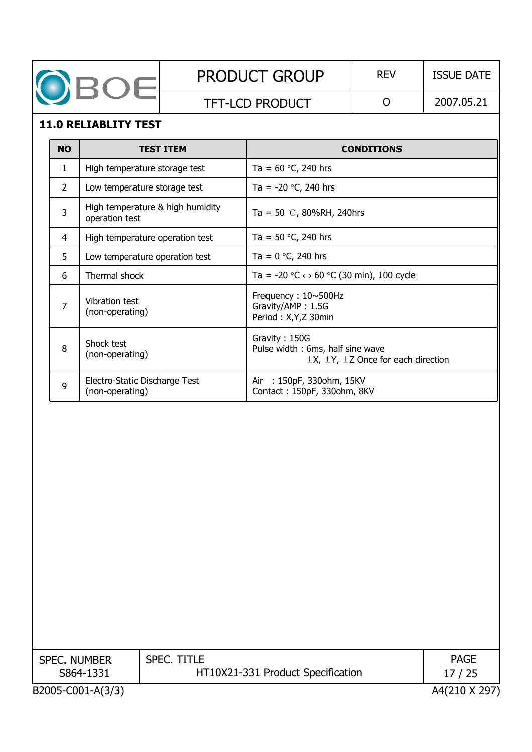|                | OBOE                                               |                  | <b>PRODUCT GROUP</b>                                                      | <b>REV</b>                                        | <b>ISSUE DATE</b> |  |  |
|----------------|----------------------------------------------------|------------------|---------------------------------------------------------------------------|---------------------------------------------------|-------------------|--|--|
|                |                                                    |                  | <b>TFT-LCD PRODUCT</b>                                                    | O                                                 | 2007.05.21        |  |  |
|                | <b>11.0 RELIABLITY TEST</b>                        |                  |                                                                           |                                                   |                   |  |  |
| <b>NO</b>      |                                                    | <b>TEST ITEM</b> |                                                                           | <b>CONDITIONS</b>                                 |                   |  |  |
| 1.             | High temperature storage test                      |                  | Ta = $60$ °C, 240 hrs                                                     |                                                   |                   |  |  |
| 2              | Low temperature storage test                       |                  | Ta = $-20$ °C, 240 hrs                                                    |                                                   |                   |  |  |
| 3              | High temperature & high humidity<br>operation test |                  | Ta = 50 $\degree$ , 80%RH, 240hrs                                         |                                                   |                   |  |  |
| 4              | High temperature operation test                    |                  | Ta = 50 $\degree$ C, 240 hrs                                              |                                                   |                   |  |  |
| 5              | Low temperature operation test                     |                  | Ta = $0 °C$ , 240 hrs                                                     |                                                   |                   |  |  |
| 6              | Thermal shock                                      |                  | Ta = -20 $\degree$ C $\leftrightarrow$ 60 $\degree$ C (30 min), 100 cycle |                                                   |                   |  |  |
| $\overline{7}$ | Vibration test<br>(non-operating)                  |                  | Frequency: 10~500Hz<br>Gravity/AMP: 1.5G<br>Period: X, Y, Z 30min         |                                                   |                   |  |  |
| 8              | Shock test<br>(non-operating)                      |                  | Gravity: 150G<br>Pulse width: 6ms, half sine wave                         | $\pm$ X, $\pm$ Y, $\pm$ Z Once for each direction |                   |  |  |

Air : 150pF, 330ohm, 15KV Contact : 150pF, 330ohm, 8KV

| <b>SPEC. NUMBER</b> | SPEC. TITLE                       | <b>PAGE</b>   |
|---------------------|-----------------------------------|---------------|
| S864-1331           | HT10X21-331 Product Specification | 17/25         |
| B2005-C001-A(3/3)   |                                   | A4(210 X 297) |

<sup>9</sup> Electro-Static Discharge Test (non-operating)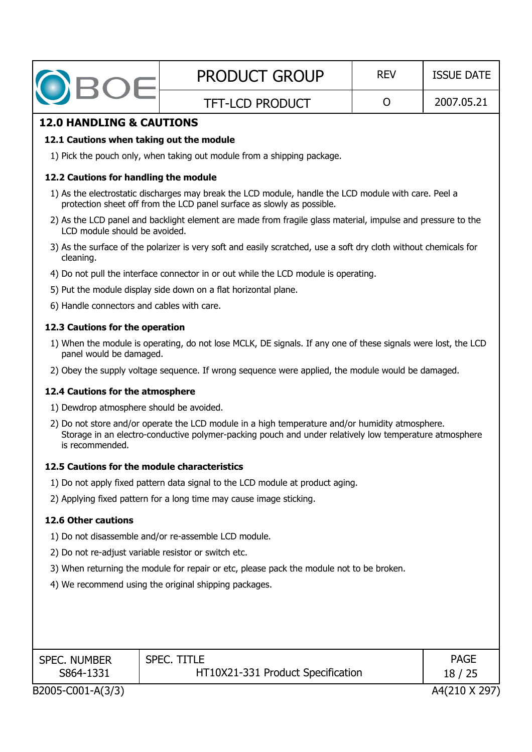| DBOE                                                                                     | <b>PRODUCT GROUP</b>                                                                                                                                                                                      | <b>REV</b> | <b>ISSUE DATE</b> |  |  |
|------------------------------------------------------------------------------------------|-----------------------------------------------------------------------------------------------------------------------------------------------------------------------------------------------------------|------------|-------------------|--|--|
|                                                                                          | <b>TFT-LCD PRODUCT</b>                                                                                                                                                                                    | O          | 2007.05.21        |  |  |
| <b>12.0 HANDLING &amp; CAUTIONS</b>                                                      |                                                                                                                                                                                                           |            |                   |  |  |
| 12.1 Cautions when taking out the module                                                 |                                                                                                                                                                                                           |            |                   |  |  |
|                                                                                          | 1) Pick the pouch only, when taking out module from a shipping package.                                                                                                                                   |            |                   |  |  |
| 12.2 Cautions for handling the module                                                    |                                                                                                                                                                                                           |            |                   |  |  |
|                                                                                          | 1) As the electrostatic discharges may break the LCD module, handle the LCD module with care. Peel a<br>protection sheet off from the LCD panel surface as slowly as possible.                            |            |                   |  |  |
| LCD module should be avoided.                                                            | 2) As the LCD panel and backlight element are made from fragile glass material, impulse and pressure to the                                                                                               |            |                   |  |  |
| cleaning.                                                                                | 3) As the surface of the polarizer is very soft and easily scratched, use a soft dry cloth without chemicals for                                                                                          |            |                   |  |  |
|                                                                                          | 4) Do not pull the interface connector in or out while the LCD module is operating.                                                                                                                       |            |                   |  |  |
|                                                                                          | 5) Put the module display side down on a flat horizontal plane.                                                                                                                                           |            |                   |  |  |
| 6) Handle connectors and cables with care.                                               |                                                                                                                                                                                                           |            |                   |  |  |
| 12.3 Cautions for the operation                                                          |                                                                                                                                                                                                           |            |                   |  |  |
| panel would be damaged.                                                                  | 1) When the module is operating, do not lose MCLK, DE signals. If any one of these signals were lost, the LCD                                                                                             |            |                   |  |  |
|                                                                                          | 2) Obey the supply voltage sequence. If wrong sequence were applied, the module would be damaged.                                                                                                         |            |                   |  |  |
| 12.4 Cautions for the atmosphere                                                         |                                                                                                                                                                                                           |            |                   |  |  |
| 1) Dewdrop atmosphere should be avoided.                                                 |                                                                                                                                                                                                           |            |                   |  |  |
| is recommended.                                                                          | 2) Do not store and/or operate the LCD module in a high temperature and/or humidity atmosphere.<br>Storage in an electro-conductive polymer-packing pouch and under relatively low temperature atmosphere |            |                   |  |  |
| 12.5 Cautions for the module characteristics                                             |                                                                                                                                                                                                           |            |                   |  |  |
|                                                                                          | 1) Do not apply fixed pattern data signal to the LCD module at product aging.                                                                                                                             |            |                   |  |  |
|                                                                                          | 2) Applying fixed pattern for a long time may cause image sticking.                                                                                                                                       |            |                   |  |  |
| <b>12.6 Other cautions</b>                                                               |                                                                                                                                                                                                           |            |                   |  |  |
|                                                                                          | 1) Do not disassemble and/or re-assemble LCD module.                                                                                                                                                      |            |                   |  |  |
| 2) Do not re-adjust variable resistor or switch etc.                                     |                                                                                                                                                                                                           |            |                   |  |  |
| 3) When returning the module for repair or etc, please pack the module not to be broken. |                                                                                                                                                                                                           |            |                   |  |  |
| 4) We recommend using the original shipping packages.                                    |                                                                                                                                                                                                           |            |                   |  |  |
|                                                                                          |                                                                                                                                                                                                           |            |                   |  |  |
|                                                                                          |                                                                                                                                                                                                           |            |                   |  |  |
|                                                                                          |                                                                                                                                                                                                           |            |                   |  |  |

SPEC. NUMBER S864-1331

SPEC. TITLE HT10X21-331 Product Specification

PAGE 18 / 25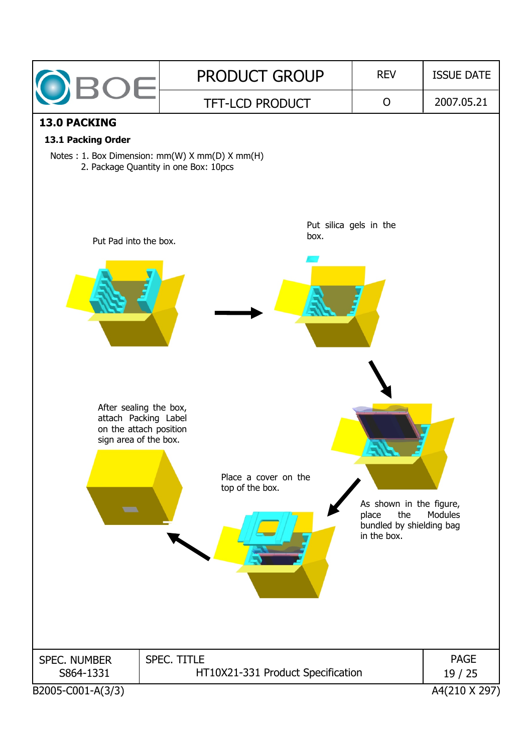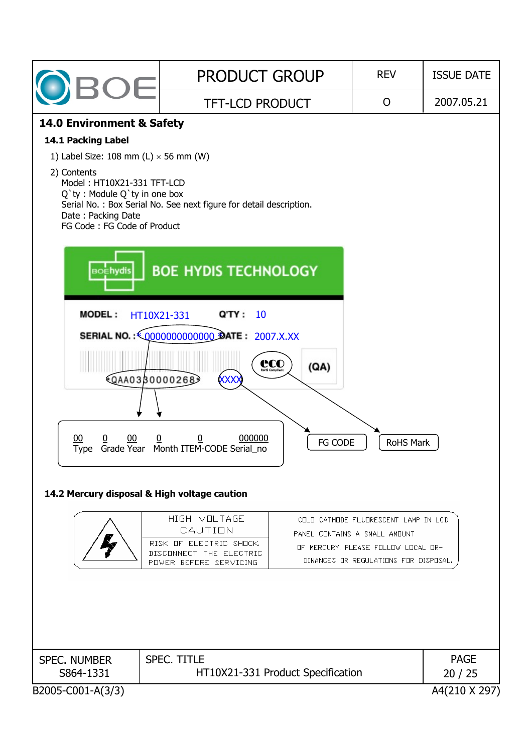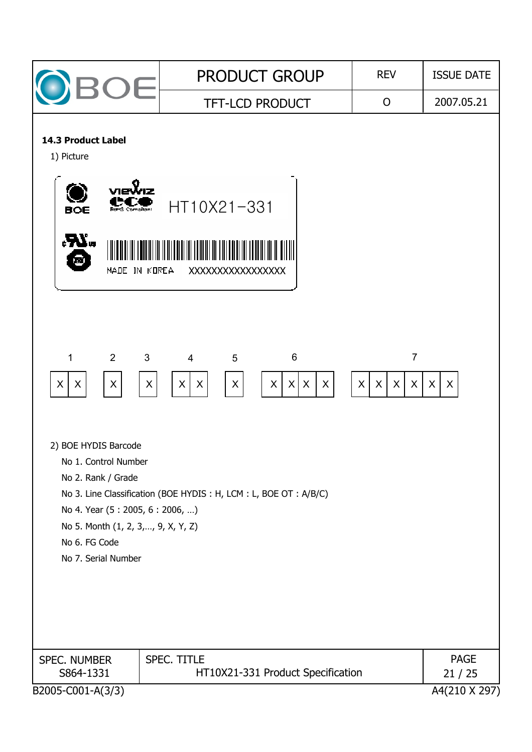| <b>BOE</b>                                                                                                                           | <b>PRODUCT GROUP</b>                                                                                                                                             | <b>REV</b>                                               | <b>ISSUE DATE</b>    |
|--------------------------------------------------------------------------------------------------------------------------------------|------------------------------------------------------------------------------------------------------------------------------------------------------------------|----------------------------------------------------------|----------------------|
|                                                                                                                                      | <b>TFT-LCD PRODUCT</b>                                                                                                                                           | $\mathsf{O}$                                             | 2007.05.21           |
| <b>14.3 Product Label</b><br>1) Picture<br>BOE<br>Rong Compliant<br>"کو،<br>т<br>MADE IN KOREA                                       | HT10X21-331<br>XXXXXXXXXXXXXXXXX                                                                                                                                 |                                                          |                      |
| $2^{\circ}$<br>1<br>3<br>$\mathsf{X}$<br>$\mathsf X$<br>X<br>2) BOE HYDIS Barcode                                                    | $\overline{4}$<br>6<br>5<br>$\mathsf{X}$<br>X<br>$\vert x \vert$<br>$\mathsf{X}$<br>$\sf X$<br>$\boldsymbol{\mathsf{X}}$<br>$\boldsymbol{\mathsf{X}}$<br>$\sf X$ | $\overline{7}$<br>X<br>X<br>$\mathsf{X}$<br>$\mathsf{X}$ | $\sf X$<br>$\sf X$   |
| No 1. Control Number<br>No 2. Rank / Grade<br>No 4. Year (5: 2005, 6: 2006, )<br>No 5. Month (1, 2, 3,, 9, X, Y, Z)<br>No 6. FG Code | No 3. Line Classification (BOE HYDIS: H, LCM: L, BOE OT: A/B/C)                                                                                                  |                                                          |                      |
| No 7. Serial Number<br><b>SPEC. NUMBER</b><br>S864-1331                                                                              | <b>SPEC. TITLE</b><br>HT10X21-331 Product Specification                                                                                                          |                                                          | <b>PAGE</b><br>21/25 |
| B2005-C001-A(3/3)                                                                                                                    |                                                                                                                                                                  |                                                          | A4(210 X 297)        |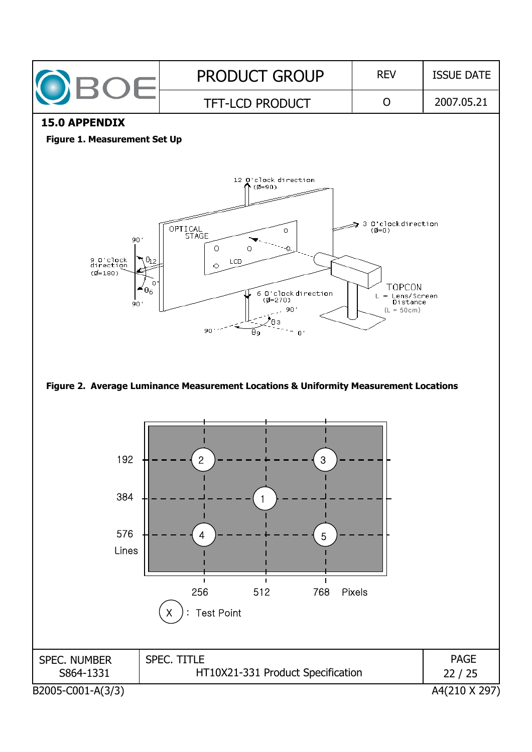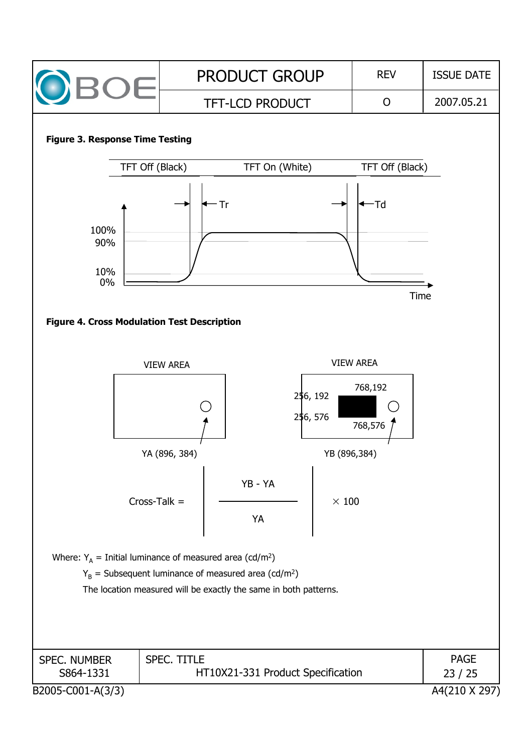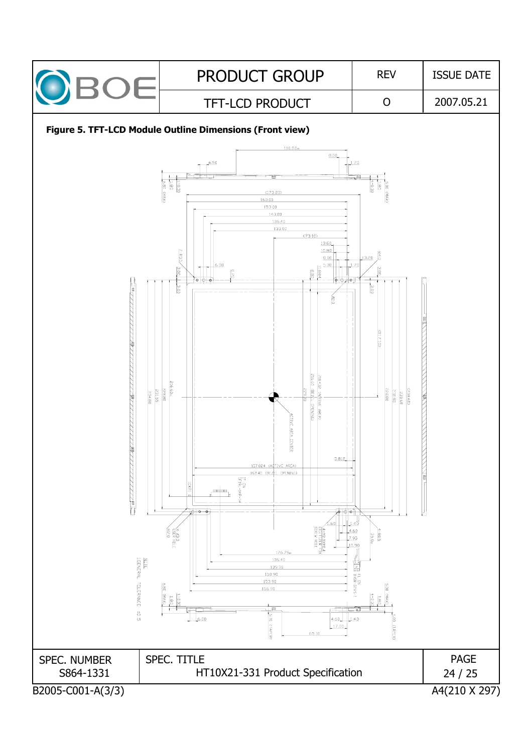